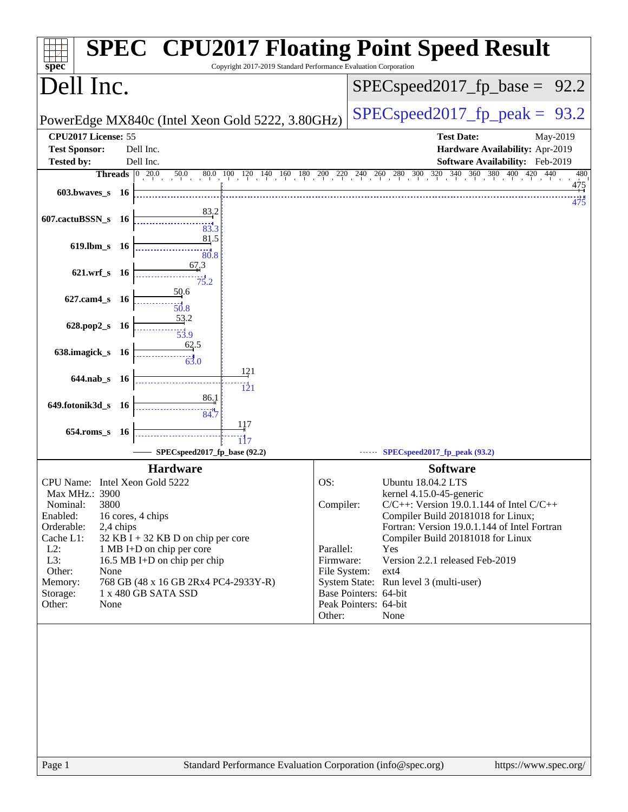| Dell Inc.<br>$SPEC speed2017rfp base =$<br>$SPEC speed2017fp peak =$<br>PowerEdge MX840c (Intel Xeon Gold 5222, 3.80GHz)<br>CPU2017 License: 55<br><b>Test Date:</b><br>May-2019<br><b>Test Sponsor:</b><br>Dell Inc.<br>Hardware Availability: Apr-2019<br>Dell Inc.<br>Software Availability: Feb-2019<br><b>Tested by:</b><br><b>Threads</b> $\boxed{0}$ 20.0<br>$50.0$ $80.0$ $100$ $120$ $140$ $160$ $180$ $200$ $220$ $240$ $260$ $280$ $300$ $320$ $340$ $360$ $380$ $400$ $420$ $440$<br>475<br>$603.bwaves$ 16<br>83,2<br>607.cactuBSSN_s<br>- 16<br>$\frac{1}{83.3}$<br>81.5<br>619.lbm_s 16<br>80.8<br>67.3<br>621.wrf_s 16<br>75.2<br>50.6<br>$627$ .cam $4_s$<br>- 16<br>50.8<br>53.2<br>628.pop2_s<br>- 16<br>53.9<br>62.5<br>638.imagick_s 16<br>63.0<br>121<br>$644$ .nab s 16<br>$\overline{121}$<br>86.1<br>649.fotonik3d_s<br>- 16<br>34.7<br>117<br>$654$ .roms_s<br>- 16<br>SPECspeed2017_fp_base (92.2)<br>SPECspeed2017_fp_peak (93.2)<br><b>Hardware</b><br><b>Software</b><br>CPU Name: Intel Xeon Gold 5222<br>OS:<br><b>Ubuntu 18.04.2 LTS</b><br>Max MHz.: 3900<br>kernel 4.15.0-45-generic<br>3800<br>Compiler:<br>Nominal:<br>$C/C++$ : Version 19.0.1.144 of Intel $C/C++$<br>Compiler Build 20181018 for Linux;<br>Enabled:<br>16 cores, 4 chips<br>Orderable:<br>2,4 chips<br>Fortran: Version 19.0.1.144 of Intel Fortran<br>Cache L1:<br>$32$ KB I + 32 KB D on chip per core<br>Compiler Build 20181018 for Linux<br>$L2$ :<br>Parallel:<br>1 MB I+D on chip per core<br>Yes<br>L3:<br>16.5 MB I+D on chip per chip<br>Version 2.2.1 released Feb-2019<br>Firmware:<br>Other:<br>None<br>File System:<br>$ext{4}$<br>System State: Run level 3 (multi-user)<br>Memory:<br>768 GB (48 x 16 GB 2Rx4 PC4-2933Y-R)<br>1 x 480 GB SATA SSD<br>Base Pointers: 64-bit<br>Storage:<br>Peak Pointers: 64-bit<br>Other:<br>None<br>Other:<br>None | spec <sup>®</sup> | Copyright 2017-2019 Standard Performance Evaluation Corporation | <b>SPEC<sup>®</sup> CPU2017 Floating Point Speed Result</b> |
|-----------------------------------------------------------------------------------------------------------------------------------------------------------------------------------------------------------------------------------------------------------------------------------------------------------------------------------------------------------------------------------------------------------------------------------------------------------------------------------------------------------------------------------------------------------------------------------------------------------------------------------------------------------------------------------------------------------------------------------------------------------------------------------------------------------------------------------------------------------------------------------------------------------------------------------------------------------------------------------------------------------------------------------------------------------------------------------------------------------------------------------------------------------------------------------------------------------------------------------------------------------------------------------------------------------------------------------------------------------------------------------------------------------------------------------------------------------------------------------------------------------------------------------------------------------------------------------------------------------------------------------------------------------------------------------------------------------------------------------------------------------------------------------------------------------------------------------------------------------------------------|-------------------|-----------------------------------------------------------------|-------------------------------------------------------------|
|                                                                                                                                                                                                                                                                                                                                                                                                                                                                                                                                                                                                                                                                                                                                                                                                                                                                                                                                                                                                                                                                                                                                                                                                                                                                                                                                                                                                                                                                                                                                                                                                                                                                                                                                                                                                                                                                             |                   |                                                                 | 92.2                                                        |
|                                                                                                                                                                                                                                                                                                                                                                                                                                                                                                                                                                                                                                                                                                                                                                                                                                                                                                                                                                                                                                                                                                                                                                                                                                                                                                                                                                                                                                                                                                                                                                                                                                                                                                                                                                                                                                                                             |                   |                                                                 | 93.2                                                        |
|                                                                                                                                                                                                                                                                                                                                                                                                                                                                                                                                                                                                                                                                                                                                                                                                                                                                                                                                                                                                                                                                                                                                                                                                                                                                                                                                                                                                                                                                                                                                                                                                                                                                                                                                                                                                                                                                             |                   |                                                                 |                                                             |
|                                                                                                                                                                                                                                                                                                                                                                                                                                                                                                                                                                                                                                                                                                                                                                                                                                                                                                                                                                                                                                                                                                                                                                                                                                                                                                                                                                                                                                                                                                                                                                                                                                                                                                                                                                                                                                                                             |                   |                                                                 |                                                             |
|                                                                                                                                                                                                                                                                                                                                                                                                                                                                                                                                                                                                                                                                                                                                                                                                                                                                                                                                                                                                                                                                                                                                                                                                                                                                                                                                                                                                                                                                                                                                                                                                                                                                                                                                                                                                                                                                             |                   |                                                                 |                                                             |
|                                                                                                                                                                                                                                                                                                                                                                                                                                                                                                                                                                                                                                                                                                                                                                                                                                                                                                                                                                                                                                                                                                                                                                                                                                                                                                                                                                                                                                                                                                                                                                                                                                                                                                                                                                                                                                                                             |                   |                                                                 | 480                                                         |
|                                                                                                                                                                                                                                                                                                                                                                                                                                                                                                                                                                                                                                                                                                                                                                                                                                                                                                                                                                                                                                                                                                                                                                                                                                                                                                                                                                                                                                                                                                                                                                                                                                                                                                                                                                                                                                                                             |                   |                                                                 | 475                                                         |
|                                                                                                                                                                                                                                                                                                                                                                                                                                                                                                                                                                                                                                                                                                                                                                                                                                                                                                                                                                                                                                                                                                                                                                                                                                                                                                                                                                                                                                                                                                                                                                                                                                                                                                                                                                                                                                                                             |                   |                                                                 |                                                             |
|                                                                                                                                                                                                                                                                                                                                                                                                                                                                                                                                                                                                                                                                                                                                                                                                                                                                                                                                                                                                                                                                                                                                                                                                                                                                                                                                                                                                                                                                                                                                                                                                                                                                                                                                                                                                                                                                             |                   |                                                                 |                                                             |
|                                                                                                                                                                                                                                                                                                                                                                                                                                                                                                                                                                                                                                                                                                                                                                                                                                                                                                                                                                                                                                                                                                                                                                                                                                                                                                                                                                                                                                                                                                                                                                                                                                                                                                                                                                                                                                                                             |                   |                                                                 |                                                             |
|                                                                                                                                                                                                                                                                                                                                                                                                                                                                                                                                                                                                                                                                                                                                                                                                                                                                                                                                                                                                                                                                                                                                                                                                                                                                                                                                                                                                                                                                                                                                                                                                                                                                                                                                                                                                                                                                             |                   |                                                                 |                                                             |
|                                                                                                                                                                                                                                                                                                                                                                                                                                                                                                                                                                                                                                                                                                                                                                                                                                                                                                                                                                                                                                                                                                                                                                                                                                                                                                                                                                                                                                                                                                                                                                                                                                                                                                                                                                                                                                                                             |                   |                                                                 |                                                             |
|                                                                                                                                                                                                                                                                                                                                                                                                                                                                                                                                                                                                                                                                                                                                                                                                                                                                                                                                                                                                                                                                                                                                                                                                                                                                                                                                                                                                                                                                                                                                                                                                                                                                                                                                                                                                                                                                             |                   |                                                                 |                                                             |
|                                                                                                                                                                                                                                                                                                                                                                                                                                                                                                                                                                                                                                                                                                                                                                                                                                                                                                                                                                                                                                                                                                                                                                                                                                                                                                                                                                                                                                                                                                                                                                                                                                                                                                                                                                                                                                                                             |                   |                                                                 |                                                             |
|                                                                                                                                                                                                                                                                                                                                                                                                                                                                                                                                                                                                                                                                                                                                                                                                                                                                                                                                                                                                                                                                                                                                                                                                                                                                                                                                                                                                                                                                                                                                                                                                                                                                                                                                                                                                                                                                             |                   |                                                                 |                                                             |
|                                                                                                                                                                                                                                                                                                                                                                                                                                                                                                                                                                                                                                                                                                                                                                                                                                                                                                                                                                                                                                                                                                                                                                                                                                                                                                                                                                                                                                                                                                                                                                                                                                                                                                                                                                                                                                                                             |                   |                                                                 |                                                             |
|                                                                                                                                                                                                                                                                                                                                                                                                                                                                                                                                                                                                                                                                                                                                                                                                                                                                                                                                                                                                                                                                                                                                                                                                                                                                                                                                                                                                                                                                                                                                                                                                                                                                                                                                                                                                                                                                             |                   |                                                                 |                                                             |
|                                                                                                                                                                                                                                                                                                                                                                                                                                                                                                                                                                                                                                                                                                                                                                                                                                                                                                                                                                                                                                                                                                                                                                                                                                                                                                                                                                                                                                                                                                                                                                                                                                                                                                                                                                                                                                                                             |                   |                                                                 |                                                             |
|                                                                                                                                                                                                                                                                                                                                                                                                                                                                                                                                                                                                                                                                                                                                                                                                                                                                                                                                                                                                                                                                                                                                                                                                                                                                                                                                                                                                                                                                                                                                                                                                                                                                                                                                                                                                                                                                             |                   |                                                                 |                                                             |
|                                                                                                                                                                                                                                                                                                                                                                                                                                                                                                                                                                                                                                                                                                                                                                                                                                                                                                                                                                                                                                                                                                                                                                                                                                                                                                                                                                                                                                                                                                                                                                                                                                                                                                                                                                                                                                                                             |                   |                                                                 |                                                             |
|                                                                                                                                                                                                                                                                                                                                                                                                                                                                                                                                                                                                                                                                                                                                                                                                                                                                                                                                                                                                                                                                                                                                                                                                                                                                                                                                                                                                                                                                                                                                                                                                                                                                                                                                                                                                                                                                             |                   |                                                                 |                                                             |
|                                                                                                                                                                                                                                                                                                                                                                                                                                                                                                                                                                                                                                                                                                                                                                                                                                                                                                                                                                                                                                                                                                                                                                                                                                                                                                                                                                                                                                                                                                                                                                                                                                                                                                                                                                                                                                                                             |                   |                                                                 |                                                             |
|                                                                                                                                                                                                                                                                                                                                                                                                                                                                                                                                                                                                                                                                                                                                                                                                                                                                                                                                                                                                                                                                                                                                                                                                                                                                                                                                                                                                                                                                                                                                                                                                                                                                                                                                                                                                                                                                             |                   |                                                                 |                                                             |
|                                                                                                                                                                                                                                                                                                                                                                                                                                                                                                                                                                                                                                                                                                                                                                                                                                                                                                                                                                                                                                                                                                                                                                                                                                                                                                                                                                                                                                                                                                                                                                                                                                                                                                                                                                                                                                                                             |                   |                                                                 |                                                             |
|                                                                                                                                                                                                                                                                                                                                                                                                                                                                                                                                                                                                                                                                                                                                                                                                                                                                                                                                                                                                                                                                                                                                                                                                                                                                                                                                                                                                                                                                                                                                                                                                                                                                                                                                                                                                                                                                             |                   |                                                                 |                                                             |
|                                                                                                                                                                                                                                                                                                                                                                                                                                                                                                                                                                                                                                                                                                                                                                                                                                                                                                                                                                                                                                                                                                                                                                                                                                                                                                                                                                                                                                                                                                                                                                                                                                                                                                                                                                                                                                                                             |                   |                                                                 |                                                             |
|                                                                                                                                                                                                                                                                                                                                                                                                                                                                                                                                                                                                                                                                                                                                                                                                                                                                                                                                                                                                                                                                                                                                                                                                                                                                                                                                                                                                                                                                                                                                                                                                                                                                                                                                                                                                                                                                             |                   |                                                                 |                                                             |
|                                                                                                                                                                                                                                                                                                                                                                                                                                                                                                                                                                                                                                                                                                                                                                                                                                                                                                                                                                                                                                                                                                                                                                                                                                                                                                                                                                                                                                                                                                                                                                                                                                                                                                                                                                                                                                                                             |                   |                                                                 |                                                             |
|                                                                                                                                                                                                                                                                                                                                                                                                                                                                                                                                                                                                                                                                                                                                                                                                                                                                                                                                                                                                                                                                                                                                                                                                                                                                                                                                                                                                                                                                                                                                                                                                                                                                                                                                                                                                                                                                             |                   |                                                                 |                                                             |
|                                                                                                                                                                                                                                                                                                                                                                                                                                                                                                                                                                                                                                                                                                                                                                                                                                                                                                                                                                                                                                                                                                                                                                                                                                                                                                                                                                                                                                                                                                                                                                                                                                                                                                                                                                                                                                                                             |                   |                                                                 |                                                             |
|                                                                                                                                                                                                                                                                                                                                                                                                                                                                                                                                                                                                                                                                                                                                                                                                                                                                                                                                                                                                                                                                                                                                                                                                                                                                                                                                                                                                                                                                                                                                                                                                                                                                                                                                                                                                                                                                             |                   |                                                                 |                                                             |
| Standard Performance Evaluation Corporation (info@spec.org)                                                                                                                                                                                                                                                                                                                                                                                                                                                                                                                                                                                                                                                                                                                                                                                                                                                                                                                                                                                                                                                                                                                                                                                                                                                                                                                                                                                                                                                                                                                                                                                                                                                                                                                                                                                                                 | Page 1            |                                                                 | https://www.spec.org/                                       |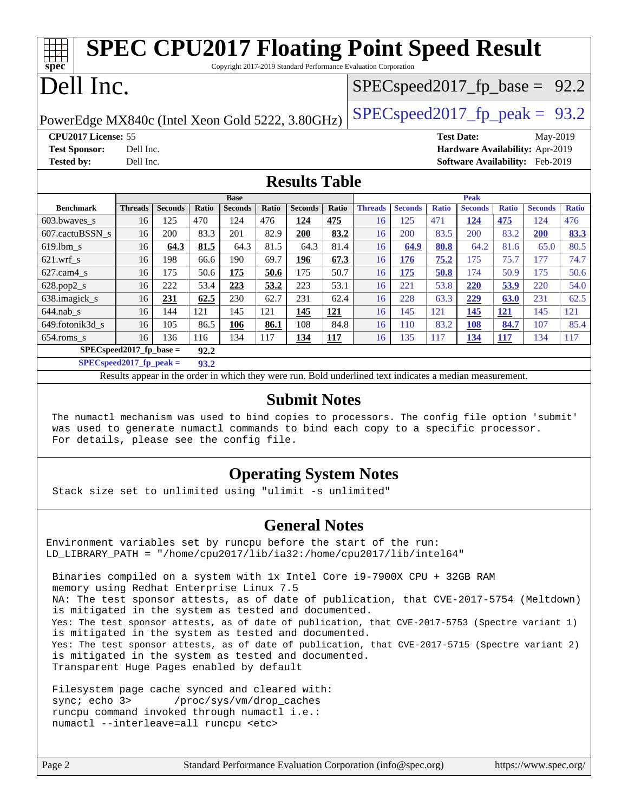| <b>SPEC CPU2017 Floating Point Speed Result</b>                         |                                                      |                |       |                               |       |                |       |                |                |              |                               |              |                                        |              |
|-------------------------------------------------------------------------|------------------------------------------------------|----------------|-------|-------------------------------|-------|----------------|-------|----------------|----------------|--------------|-------------------------------|--------------|----------------------------------------|--------------|
| spec<br>Copyright 2017-2019 Standard Performance Evaluation Corporation |                                                      |                |       |                               |       |                |       |                |                |              |                               |              |                                        |              |
|                                                                         |                                                      |                |       |                               |       |                |       |                |                |              |                               |              |                                        |              |
|                                                                         | Dell Inc.<br>$SPEC speed2017_fp\_base = 92.2$        |                |       |                               |       |                |       |                |                |              |                               |              |                                        |              |
| $SPEC speed2017_fp\_peak = 93.2$                                        |                                                      |                |       |                               |       |                |       |                |                |              |                               |              |                                        |              |
| PowerEdge MX840c (Intel Xeon Gold 5222, 3.80GHz)                        |                                                      |                |       |                               |       |                |       |                |                |              |                               |              |                                        |              |
|                                                                         | CPU2017 License: 55<br><b>Test Date:</b><br>May-2019 |                |       |                               |       |                |       |                |                |              |                               |              |                                        |              |
| <b>Test Sponsor:</b>                                                    | Dell Inc.                                            |                |       |                               |       |                |       |                |                |              |                               |              | Hardware Availability: Apr-2019        |              |
| <b>Tested by:</b>                                                       | Dell Inc.                                            |                |       |                               |       |                |       |                |                |              |                               |              | <b>Software Availability:</b> Feb-2019 |              |
| <b>Results Table</b>                                                    |                                                      |                |       |                               |       |                |       |                |                |              |                               |              |                                        |              |
|                                                                         |                                                      |                |       |                               |       |                |       |                |                |              |                               |              |                                        |              |
| <b>Benchmark</b>                                                        | <b>Threads</b>                                       | <b>Seconds</b> | Ratio | <b>Base</b><br><b>Seconds</b> | Ratio | <b>Seconds</b> | Ratio | <b>Threads</b> | <b>Seconds</b> | <b>Ratio</b> | <b>Peak</b><br><b>Seconds</b> | <b>Ratio</b> | <b>Seconds</b>                         | <b>Ratio</b> |
| 603.bwaves_s                                                            | 16                                                   | 125            | 470   | 124                           | 476   | 124            | 475   | 16             | 125            | 471          | 124                           | 475          | 124                                    | 476          |
| 607.cactuBSSN s                                                         | 16                                                   | 200            | 83.3  | 201                           | 82.9  | 200            | 83.2  | 16             | 200            | 83.5         | 200                           | 83.2         | 200                                    | 83.3         |
| 619.1bm s                                                               | 16                                                   | 64.3           | 81.5  | 64.3                          | 81.5  | 64.3           | 81.4  | 16             | 64.9           | 80.8         | 64.2                          | 81.6         | 65.0                                   | 80.5         |
| $621$ .wrf s                                                            | 16                                                   | 198            | 66.6  | 190                           | 69.7  | 196            | 67.3  | 16             | 176            | 75.2         | 175                           | 75.7         | 177                                    | 74.7         |
| $627$ .cam $4$ s                                                        | 16                                                   | 175            | 50.6  | 175                           | 50.6  | 175            | 50.7  | 16             | 175            | 50.8         | 174                           | 50.9         | 175                                    | 50.6         |
| 628.pop2_s                                                              | 16                                                   | 222            | 53.4  | 223                           | 53.2  | 223            | 53.1  | 16             | 221            | 53.8         | 220                           | 53.9         | 220                                    | 54.0         |
| 638.imagick_s                                                           | 16                                                   | 231            | 62.5  | 230                           | 62.7  | 231            | 62.4  | 16             | 228            | 63.3         | 229                           | 63.0         | 231                                    | 62.5         |
|                                                                         |                                                      |                |       |                               | 121   | 145            | 121   | 16             | 145            | 121          | 145                           | 121          | 145                                    | 121          |
| $644$ .nab s                                                            | 16                                                   | 144            | 121   | 145                           |       |                |       |                |                |              |                               |              |                                        |              |
| 649.fotonik3d s                                                         | 16                                                   | 105            | 86.5  | 106                           | 86.1  | 108            | 84.8  | 16             | 110            | 83.2         | 108                           | 84.7         | 107                                    | 85.4         |
| $654$ .roms_s                                                           | 16                                                   | 136            | 116   | 134                           | 117   | 134            | 117   | 16             | 135            | 117          | 134                           | 117          | 134                                    | 117          |

**[SPECspeed2017\\_fp\\_peak =](http://www.spec.org/auto/cpu2017/Docs/result-fields.html#SPECspeed2017fppeak) 93.2**

Results appear in the [order in which they were run.](http://www.spec.org/auto/cpu2017/Docs/result-fields.html#RunOrder) Bold underlined text [indicates a median measurement](http://www.spec.org/auto/cpu2017/Docs/result-fields.html#Median).

#### **[Submit Notes](http://www.spec.org/auto/cpu2017/Docs/result-fields.html#SubmitNotes)**

 The numactl mechanism was used to bind copies to processors. The config file option 'submit' was used to generate numactl commands to bind each copy to a specific processor. For details, please see the config file.

### **[Operating System Notes](http://www.spec.org/auto/cpu2017/Docs/result-fields.html#OperatingSystemNotes)**

Stack size set to unlimited using "ulimit -s unlimited"

#### **[General Notes](http://www.spec.org/auto/cpu2017/Docs/result-fields.html#GeneralNotes)**

Environment variables set by runcpu before the start of the run: LD LIBRARY PATH = "/home/cpu2017/lib/ia32:/home/cpu2017/lib/intel64"

 Binaries compiled on a system with 1x Intel Core i9-7900X CPU + 32GB RAM memory using Redhat Enterprise Linux 7.5 NA: The test sponsor attests, as of date of publication, that CVE-2017-5754 (Meltdown) is mitigated in the system as tested and documented. Yes: The test sponsor attests, as of date of publication, that CVE-2017-5753 (Spectre variant 1) is mitigated in the system as tested and documented. Yes: The test sponsor attests, as of date of publication, that CVE-2017-5715 (Spectre variant 2) is mitigated in the system as tested and documented. Transparent Huge Pages enabled by default

 Filesystem page cache synced and cleared with: sync; echo 3> /proc/sys/vm/drop\_caches runcpu command invoked through numactl i.e.: numactl --interleave=all runcpu <etc>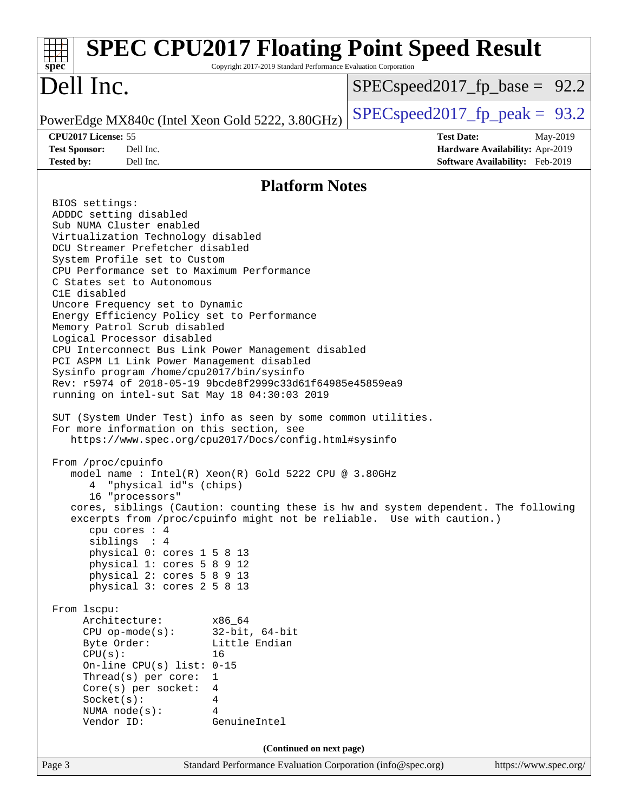| <b>SPEC CPU2017 Floating Point Speed Result</b><br>Copyright 2017-2019 Standard Performance Evaluation Corporation<br>$spec^*$                                                                                                                                                                                                                                                                                                                                                                                                                                                                                                                                                                                                                                                                                                                                                                                                                                                                                                                                                                                                                                                                                                                                                                                                                                                                                                                                                                                                                                                                                                                                   |                                                                                                     |
|------------------------------------------------------------------------------------------------------------------------------------------------------------------------------------------------------------------------------------------------------------------------------------------------------------------------------------------------------------------------------------------------------------------------------------------------------------------------------------------------------------------------------------------------------------------------------------------------------------------------------------------------------------------------------------------------------------------------------------------------------------------------------------------------------------------------------------------------------------------------------------------------------------------------------------------------------------------------------------------------------------------------------------------------------------------------------------------------------------------------------------------------------------------------------------------------------------------------------------------------------------------------------------------------------------------------------------------------------------------------------------------------------------------------------------------------------------------------------------------------------------------------------------------------------------------------------------------------------------------------------------------------------------------|-----------------------------------------------------------------------------------------------------|
| Dell Inc.                                                                                                                                                                                                                                                                                                                                                                                                                                                                                                                                                                                                                                                                                                                                                                                                                                                                                                                                                                                                                                                                                                                                                                                                                                                                                                                                                                                                                                                                                                                                                                                                                                                        | $SPEC speed2017_f p\_base = 92.2$                                                                   |
| PowerEdge MX840c (Intel Xeon Gold 5222, 3.80GHz)                                                                                                                                                                                                                                                                                                                                                                                                                                                                                                                                                                                                                                                                                                                                                                                                                                                                                                                                                                                                                                                                                                                                                                                                                                                                                                                                                                                                                                                                                                                                                                                                                 | $SPEC speed2017_fp\_peak = 93.2$                                                                    |
| CPU2017 License: 55<br><b>Test Sponsor:</b><br>Dell Inc.<br><b>Tested by:</b><br>Dell Inc.                                                                                                                                                                                                                                                                                                                                                                                                                                                                                                                                                                                                                                                                                                                                                                                                                                                                                                                                                                                                                                                                                                                                                                                                                                                                                                                                                                                                                                                                                                                                                                       | <b>Test Date:</b><br>May-2019<br>Hardware Availability: Apr-2019<br>Software Availability: Feb-2019 |
| <b>Platform Notes</b>                                                                                                                                                                                                                                                                                                                                                                                                                                                                                                                                                                                                                                                                                                                                                                                                                                                                                                                                                                                                                                                                                                                                                                                                                                                                                                                                                                                                                                                                                                                                                                                                                                            |                                                                                                     |
| BIOS settings:<br>ADDDC setting disabled<br>Sub NUMA Cluster enabled<br>Virtualization Technology disabled<br>DCU Streamer Prefetcher disabled<br>System Profile set to Custom<br>CPU Performance set to Maximum Performance<br>C States set to Autonomous<br>C1E disabled<br>Uncore Frequency set to Dynamic<br>Energy Efficiency Policy set to Performance<br>Memory Patrol Scrub disabled<br>Logical Processor disabled<br>CPU Interconnect Bus Link Power Management disabled<br>PCI ASPM L1 Link Power Management disabled<br>Sysinfo program /home/cpu2017/bin/sysinfo<br>Rev: r5974 of 2018-05-19 9bcde8f2999c33d61f64985e45859ea9<br>running on intel-sut Sat May 18 04:30:03 2019<br>SUT (System Under Test) info as seen by some common utilities.<br>For more information on this section, see<br>https://www.spec.org/cpu2017/Docs/config.html#sysinfo<br>From /proc/cpuinfo<br>model name : Intel(R) Xeon(R) Gold 5222 CPU @ 3.80GHz<br>"physical id"s (chips)<br>16 "processors"<br>cores, siblings (Caution: counting these is hw and system dependent. The following<br>excerpts from /proc/cpuinfo might not be reliable. Use with caution.)<br>cpu cores $: 4$<br>siblings : 4<br>physical 0: cores 1 5 8 13<br>physical 1: cores 5 8 9 12<br>physical 2: cores 5 8 9 13<br>physical 3: cores 2 5 8 13<br>From 1scpu:<br>Architecture:<br>x86_64<br>$CPU$ op-mode( $s$ ):<br>$32$ -bit, $64$ -bit<br>Byte Order:<br>Little Endian<br>CPU(s):<br>16<br>On-line CPU(s) list: $0-15$<br>Thread(s) per core:<br>1<br>Core(s) per socket:<br>4<br>Socket(s):<br>4<br>NUMA $node(s):$<br>4<br>Vendor ID:<br>GenuineIntel<br>(Continued on next page) |                                                                                                     |
| Standard Performance Evaluation Corporation (info@spec.org)<br>Page 3                                                                                                                                                                                                                                                                                                                                                                                                                                                                                                                                                                                                                                                                                                                                                                                                                                                                                                                                                                                                                                                                                                                                                                                                                                                                                                                                                                                                                                                                                                                                                                                            | https://www.spec.org/                                                                               |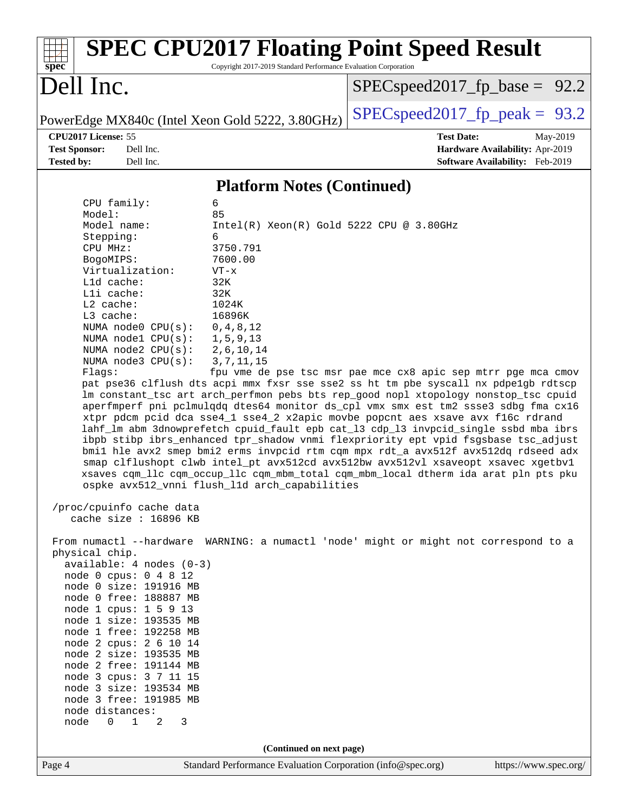| Dell Inc.<br>$SPEC speed2017_fp\_base = 92.2$<br>$SPEC speed2017_fp\_peak = 93.2$<br>PowerEdge MX840c (Intel Xeon Gold 5222, 3.80GHz)<br>CPU2017 License: 55<br><b>Test Date:</b><br><b>Test Sponsor:</b><br>Dell Inc.<br>Hardware Availability: Apr-2019<br><b>Tested by:</b><br>Dell Inc.<br><b>Software Availability:</b> Feb-2019<br><b>Platform Notes (Continued)</b><br>CPU family:<br>6<br>Model:<br>85<br>Intel(R) Xeon(R) Gold 5222 CPU @ 3.80GHz<br>Model name:<br>Stepping:<br>6<br>3750.791<br>CPU MHz:<br>BogoMIPS:<br>7600.00<br>Virtualization:<br>$VT - x$<br>L1d cache:<br>32K<br>Lli cache:<br>32K<br>L2 cache:<br>1024K<br>L3 cache:<br>16896K<br>NUMA $node0$ $CPU(s):$<br>0, 4, 8, 12<br>NUMA nodel $CPU(s):$<br>1,5,9,13<br>NUMA $node2$ $CPU(s):$<br>2, 6, 10, 14<br>NUMA node3 CPU(s):<br>3, 7, 11, 15<br>fpu vme de pse tsc msr pae mce cx8 apic sep mtrr pge mca cmov<br>Flags:<br>pat pse36 clflush dts acpi mmx fxsr sse sse2 ss ht tm pbe syscall nx pdpelgb rdtscp<br>lm constant_tsc art arch_perfmon pebs bts rep_good nopl xtopology nonstop_tsc cpuid<br>aperfmperf pni pclmulqdq dtes64 monitor ds_cpl vmx smx est tm2 ssse3 sdbg fma cx16<br>xtpr pdcm pcid dca sse4_1 sse4_2 x2apic movbe popcnt aes xsave avx f16c rdrand<br>lahf_lm abm 3dnowprefetch cpuid_fault epb cat_13 cdp_13 invpcid_single ssbd mba ibrs<br>ibpb stibp ibrs_enhanced tpr_shadow vnmi flexpriority ept vpid fsgsbase tsc_adjust<br>bmil hle avx2 smep bmi2 erms invpcid rtm cqm mpx rdt_a avx512f avx512dq rdseed adx<br>smap clflushopt clwb intel_pt avx512cd avx512bw avx512vl xsaveopt xsavec xgetbvl<br>xsaves cqm_llc cqm_occup_llc cqm_mbm_total cqm_mbm_local dtherm ida arat pln pts pku<br>ospke avx512 vnni flush 11d arch capabilities<br>/proc/cpuinfo cache data<br>cache size : 16896 KB<br>From numactl --hardware WARNING: a numactl 'node' might or might not correspond to a<br>physical chip.<br>$available: 4 nodes (0-3)$<br>node 0 cpus: 0 4 8 12<br>node 0 size: 191916 MB<br>node 0 free: 188887 MB | May-2019 |
|--------------------------------------------------------------------------------------------------------------------------------------------------------------------------------------------------------------------------------------------------------------------------------------------------------------------------------------------------------------------------------------------------------------------------------------------------------------------------------------------------------------------------------------------------------------------------------------------------------------------------------------------------------------------------------------------------------------------------------------------------------------------------------------------------------------------------------------------------------------------------------------------------------------------------------------------------------------------------------------------------------------------------------------------------------------------------------------------------------------------------------------------------------------------------------------------------------------------------------------------------------------------------------------------------------------------------------------------------------------------------------------------------------------------------------------------------------------------------------------------------------------------------------------------------------------------------------------------------------------------------------------------------------------------------------------------------------------------------------------------------------------------------------------------------------------------------------------------------------------------------------------------------------------------------------------------------------------------------------------------------------------------------------------------|----------|
|                                                                                                                                                                                                                                                                                                                                                                                                                                                                                                                                                                                                                                                                                                                                                                                                                                                                                                                                                                                                                                                                                                                                                                                                                                                                                                                                                                                                                                                                                                                                                                                                                                                                                                                                                                                                                                                                                                                                                                                                                                            |          |
|                                                                                                                                                                                                                                                                                                                                                                                                                                                                                                                                                                                                                                                                                                                                                                                                                                                                                                                                                                                                                                                                                                                                                                                                                                                                                                                                                                                                                                                                                                                                                                                                                                                                                                                                                                                                                                                                                                                                                                                                                                            |          |
|                                                                                                                                                                                                                                                                                                                                                                                                                                                                                                                                                                                                                                                                                                                                                                                                                                                                                                                                                                                                                                                                                                                                                                                                                                                                                                                                                                                                                                                                                                                                                                                                                                                                                                                                                                                                                                                                                                                                                                                                                                            |          |
|                                                                                                                                                                                                                                                                                                                                                                                                                                                                                                                                                                                                                                                                                                                                                                                                                                                                                                                                                                                                                                                                                                                                                                                                                                                                                                                                                                                                                                                                                                                                                                                                                                                                                                                                                                                                                                                                                                                                                                                                                                            |          |
|                                                                                                                                                                                                                                                                                                                                                                                                                                                                                                                                                                                                                                                                                                                                                                                                                                                                                                                                                                                                                                                                                                                                                                                                                                                                                                                                                                                                                                                                                                                                                                                                                                                                                                                                                                                                                                                                                                                                                                                                                                            |          |
|                                                                                                                                                                                                                                                                                                                                                                                                                                                                                                                                                                                                                                                                                                                                                                                                                                                                                                                                                                                                                                                                                                                                                                                                                                                                                                                                                                                                                                                                                                                                                                                                                                                                                                                                                                                                                                                                                                                                                                                                                                            |          |
|                                                                                                                                                                                                                                                                                                                                                                                                                                                                                                                                                                                                                                                                                                                                                                                                                                                                                                                                                                                                                                                                                                                                                                                                                                                                                                                                                                                                                                                                                                                                                                                                                                                                                                                                                                                                                                                                                                                                                                                                                                            |          |
|                                                                                                                                                                                                                                                                                                                                                                                                                                                                                                                                                                                                                                                                                                                                                                                                                                                                                                                                                                                                                                                                                                                                                                                                                                                                                                                                                                                                                                                                                                                                                                                                                                                                                                                                                                                                                                                                                                                                                                                                                                            |          |
|                                                                                                                                                                                                                                                                                                                                                                                                                                                                                                                                                                                                                                                                                                                                                                                                                                                                                                                                                                                                                                                                                                                                                                                                                                                                                                                                                                                                                                                                                                                                                                                                                                                                                                                                                                                                                                                                                                                                                                                                                                            |          |
|                                                                                                                                                                                                                                                                                                                                                                                                                                                                                                                                                                                                                                                                                                                                                                                                                                                                                                                                                                                                                                                                                                                                                                                                                                                                                                                                                                                                                                                                                                                                                                                                                                                                                                                                                                                                                                                                                                                                                                                                                                            |          |
|                                                                                                                                                                                                                                                                                                                                                                                                                                                                                                                                                                                                                                                                                                                                                                                                                                                                                                                                                                                                                                                                                                                                                                                                                                                                                                                                                                                                                                                                                                                                                                                                                                                                                                                                                                                                                                                                                                                                                                                                                                            |          |
|                                                                                                                                                                                                                                                                                                                                                                                                                                                                                                                                                                                                                                                                                                                                                                                                                                                                                                                                                                                                                                                                                                                                                                                                                                                                                                                                                                                                                                                                                                                                                                                                                                                                                                                                                                                                                                                                                                                                                                                                                                            |          |
|                                                                                                                                                                                                                                                                                                                                                                                                                                                                                                                                                                                                                                                                                                                                                                                                                                                                                                                                                                                                                                                                                                                                                                                                                                                                                                                                                                                                                                                                                                                                                                                                                                                                                                                                                                                                                                                                                                                                                                                                                                            |          |
|                                                                                                                                                                                                                                                                                                                                                                                                                                                                                                                                                                                                                                                                                                                                                                                                                                                                                                                                                                                                                                                                                                                                                                                                                                                                                                                                                                                                                                                                                                                                                                                                                                                                                                                                                                                                                                                                                                                                                                                                                                            |          |
|                                                                                                                                                                                                                                                                                                                                                                                                                                                                                                                                                                                                                                                                                                                                                                                                                                                                                                                                                                                                                                                                                                                                                                                                                                                                                                                                                                                                                                                                                                                                                                                                                                                                                                                                                                                                                                                                                                                                                                                                                                            |          |
|                                                                                                                                                                                                                                                                                                                                                                                                                                                                                                                                                                                                                                                                                                                                                                                                                                                                                                                                                                                                                                                                                                                                                                                                                                                                                                                                                                                                                                                                                                                                                                                                                                                                                                                                                                                                                                                                                                                                                                                                                                            |          |
|                                                                                                                                                                                                                                                                                                                                                                                                                                                                                                                                                                                                                                                                                                                                                                                                                                                                                                                                                                                                                                                                                                                                                                                                                                                                                                                                                                                                                                                                                                                                                                                                                                                                                                                                                                                                                                                                                                                                                                                                                                            |          |
|                                                                                                                                                                                                                                                                                                                                                                                                                                                                                                                                                                                                                                                                                                                                                                                                                                                                                                                                                                                                                                                                                                                                                                                                                                                                                                                                                                                                                                                                                                                                                                                                                                                                                                                                                                                                                                                                                                                                                                                                                                            |          |
|                                                                                                                                                                                                                                                                                                                                                                                                                                                                                                                                                                                                                                                                                                                                                                                                                                                                                                                                                                                                                                                                                                                                                                                                                                                                                                                                                                                                                                                                                                                                                                                                                                                                                                                                                                                                                                                                                                                                                                                                                                            |          |
|                                                                                                                                                                                                                                                                                                                                                                                                                                                                                                                                                                                                                                                                                                                                                                                                                                                                                                                                                                                                                                                                                                                                                                                                                                                                                                                                                                                                                                                                                                                                                                                                                                                                                                                                                                                                                                                                                                                                                                                                                                            |          |
|                                                                                                                                                                                                                                                                                                                                                                                                                                                                                                                                                                                                                                                                                                                                                                                                                                                                                                                                                                                                                                                                                                                                                                                                                                                                                                                                                                                                                                                                                                                                                                                                                                                                                                                                                                                                                                                                                                                                                                                                                                            |          |
|                                                                                                                                                                                                                                                                                                                                                                                                                                                                                                                                                                                                                                                                                                                                                                                                                                                                                                                                                                                                                                                                                                                                                                                                                                                                                                                                                                                                                                                                                                                                                                                                                                                                                                                                                                                                                                                                                                                                                                                                                                            |          |
|                                                                                                                                                                                                                                                                                                                                                                                                                                                                                                                                                                                                                                                                                                                                                                                                                                                                                                                                                                                                                                                                                                                                                                                                                                                                                                                                                                                                                                                                                                                                                                                                                                                                                                                                                                                                                                                                                                                                                                                                                                            |          |
|                                                                                                                                                                                                                                                                                                                                                                                                                                                                                                                                                                                                                                                                                                                                                                                                                                                                                                                                                                                                                                                                                                                                                                                                                                                                                                                                                                                                                                                                                                                                                                                                                                                                                                                                                                                                                                                                                                                                                                                                                                            |          |
|                                                                                                                                                                                                                                                                                                                                                                                                                                                                                                                                                                                                                                                                                                                                                                                                                                                                                                                                                                                                                                                                                                                                                                                                                                                                                                                                                                                                                                                                                                                                                                                                                                                                                                                                                                                                                                                                                                                                                                                                                                            |          |
|                                                                                                                                                                                                                                                                                                                                                                                                                                                                                                                                                                                                                                                                                                                                                                                                                                                                                                                                                                                                                                                                                                                                                                                                                                                                                                                                                                                                                                                                                                                                                                                                                                                                                                                                                                                                                                                                                                                                                                                                                                            |          |
|                                                                                                                                                                                                                                                                                                                                                                                                                                                                                                                                                                                                                                                                                                                                                                                                                                                                                                                                                                                                                                                                                                                                                                                                                                                                                                                                                                                                                                                                                                                                                                                                                                                                                                                                                                                                                                                                                                                                                                                                                                            |          |
| node 1 cpus: 1 5 9 13                                                                                                                                                                                                                                                                                                                                                                                                                                                                                                                                                                                                                                                                                                                                                                                                                                                                                                                                                                                                                                                                                                                                                                                                                                                                                                                                                                                                                                                                                                                                                                                                                                                                                                                                                                                                                                                                                                                                                                                                                      |          |
| node 1 size: 193535 MB                                                                                                                                                                                                                                                                                                                                                                                                                                                                                                                                                                                                                                                                                                                                                                                                                                                                                                                                                                                                                                                                                                                                                                                                                                                                                                                                                                                                                                                                                                                                                                                                                                                                                                                                                                                                                                                                                                                                                                                                                     |          |
| node 1 free: 192258 MB                                                                                                                                                                                                                                                                                                                                                                                                                                                                                                                                                                                                                                                                                                                                                                                                                                                                                                                                                                                                                                                                                                                                                                                                                                                                                                                                                                                                                                                                                                                                                                                                                                                                                                                                                                                                                                                                                                                                                                                                                     |          |
| node 2 cpus: 2 6 10 14                                                                                                                                                                                                                                                                                                                                                                                                                                                                                                                                                                                                                                                                                                                                                                                                                                                                                                                                                                                                                                                                                                                                                                                                                                                                                                                                                                                                                                                                                                                                                                                                                                                                                                                                                                                                                                                                                                                                                                                                                     |          |
| node 2 size: 193535 MB<br>node 2 free: 191144 MB                                                                                                                                                                                                                                                                                                                                                                                                                                                                                                                                                                                                                                                                                                                                                                                                                                                                                                                                                                                                                                                                                                                                                                                                                                                                                                                                                                                                                                                                                                                                                                                                                                                                                                                                                                                                                                                                                                                                                                                           |          |
| node 3 cpus: 3 7 11 15                                                                                                                                                                                                                                                                                                                                                                                                                                                                                                                                                                                                                                                                                                                                                                                                                                                                                                                                                                                                                                                                                                                                                                                                                                                                                                                                                                                                                                                                                                                                                                                                                                                                                                                                                                                                                                                                                                                                                                                                                     |          |
| node 3 size: 193534 MB                                                                                                                                                                                                                                                                                                                                                                                                                                                                                                                                                                                                                                                                                                                                                                                                                                                                                                                                                                                                                                                                                                                                                                                                                                                                                                                                                                                                                                                                                                                                                                                                                                                                                                                                                                                                                                                                                                                                                                                                                     |          |
| node 3 free: 191985 MB                                                                                                                                                                                                                                                                                                                                                                                                                                                                                                                                                                                                                                                                                                                                                                                                                                                                                                                                                                                                                                                                                                                                                                                                                                                                                                                                                                                                                                                                                                                                                                                                                                                                                                                                                                                                                                                                                                                                                                                                                     |          |
| node distances:                                                                                                                                                                                                                                                                                                                                                                                                                                                                                                                                                                                                                                                                                                                                                                                                                                                                                                                                                                                                                                                                                                                                                                                                                                                                                                                                                                                                                                                                                                                                                                                                                                                                                                                                                                                                                                                                                                                                                                                                                            |          |
| 1<br>node<br>$\overline{0}$<br>2<br>3                                                                                                                                                                                                                                                                                                                                                                                                                                                                                                                                                                                                                                                                                                                                                                                                                                                                                                                                                                                                                                                                                                                                                                                                                                                                                                                                                                                                                                                                                                                                                                                                                                                                                                                                                                                                                                                                                                                                                                                                      |          |
|                                                                                                                                                                                                                                                                                                                                                                                                                                                                                                                                                                                                                                                                                                                                                                                                                                                                                                                                                                                                                                                                                                                                                                                                                                                                                                                                                                                                                                                                                                                                                                                                                                                                                                                                                                                                                                                                                                                                                                                                                                            |          |
| (Continued on next page)<br>Page 4<br>Standard Performance Evaluation Corporation (info@spec.org)<br>https://www.spec.org/                                                                                                                                                                                                                                                                                                                                                                                                                                                                                                                                                                                                                                                                                                                                                                                                                                                                                                                                                                                                                                                                                                                                                                                                                                                                                                                                                                                                                                                                                                                                                                                                                                                                                                                                                                                                                                                                                                                 |          |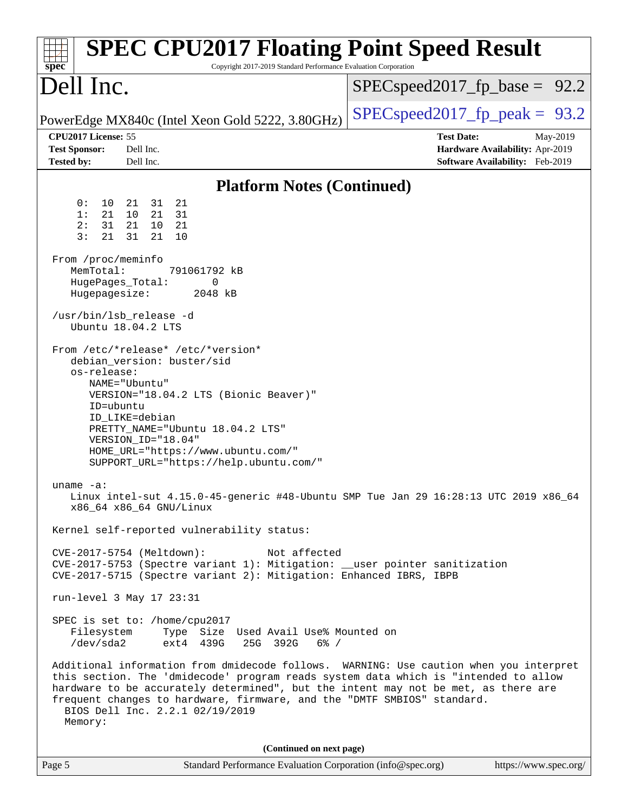| <b>SPEC CPU2017 Floating Point Speed Result</b><br>Copyright 2017-2019 Standard Performance Evaluation Corporation<br>$spec^*$                                                                                                                                                                                                                                                                                                                                                                                                                                                                                                                                                                                                                                                                                                                                                                                                                                                                                                                                                                                                                                                                                                                                                                                                                                                                                                                                                                                                                               |                                                                                                            |
|--------------------------------------------------------------------------------------------------------------------------------------------------------------------------------------------------------------------------------------------------------------------------------------------------------------------------------------------------------------------------------------------------------------------------------------------------------------------------------------------------------------------------------------------------------------------------------------------------------------------------------------------------------------------------------------------------------------------------------------------------------------------------------------------------------------------------------------------------------------------------------------------------------------------------------------------------------------------------------------------------------------------------------------------------------------------------------------------------------------------------------------------------------------------------------------------------------------------------------------------------------------------------------------------------------------------------------------------------------------------------------------------------------------------------------------------------------------------------------------------------------------------------------------------------------------|------------------------------------------------------------------------------------------------------------|
| Dell Inc.                                                                                                                                                                                                                                                                                                                                                                                                                                                                                                                                                                                                                                                                                                                                                                                                                                                                                                                                                                                                                                                                                                                                                                                                                                                                                                                                                                                                                                                                                                                                                    | $SPEC speed2017_f p\_base = 92.2$                                                                          |
| PowerEdge MX840c (Intel Xeon Gold 5222, 3.80GHz)                                                                                                                                                                                                                                                                                                                                                                                                                                                                                                                                                                                                                                                                                                                                                                                                                                                                                                                                                                                                                                                                                                                                                                                                                                                                                                                                                                                                                                                                                                             | $SPEC speed2017_fp\_peak = 93.2$                                                                           |
| CPU2017 License: 55<br><b>Test Sponsor:</b><br>Dell Inc.<br><b>Tested by:</b><br>Dell Inc.                                                                                                                                                                                                                                                                                                                                                                                                                                                                                                                                                                                                                                                                                                                                                                                                                                                                                                                                                                                                                                                                                                                                                                                                                                                                                                                                                                                                                                                                   | <b>Test Date:</b><br>May-2019<br>Hardware Availability: Apr-2019<br><b>Software Availability:</b> Feb-2019 |
| <b>Platform Notes (Continued)</b>                                                                                                                                                                                                                                                                                                                                                                                                                                                                                                                                                                                                                                                                                                                                                                                                                                                                                                                                                                                                                                                                                                                                                                                                                                                                                                                                                                                                                                                                                                                            |                                                                                                            |
| 0 :<br>10<br>31<br>21<br>21<br>1:<br>21<br>21<br>10<br>31<br>31<br>2:<br>21<br>10<br>- 21<br>3:<br>21<br>21<br>31<br>10<br>From /proc/meminfo<br>MemTotal:<br>791061792 kB<br>HugePages_Total:<br>0<br>Hugepagesize:<br>2048 kB<br>/usr/bin/lsb_release -d<br>Ubuntu 18.04.2 LTS<br>From /etc/*release* /etc/*version*<br>debian_version: buster/sid<br>os-release:<br>NAME="Ubuntu"<br>VERSION="18.04.2 LTS (Bionic Beaver)"<br>ID=ubuntu<br>ID_LIKE=debian<br>PRETTY_NAME="Ubuntu 18.04.2 LTS"<br>VERSION ID="18.04"<br>HOME_URL="https://www.ubuntu.com/"<br>SUPPORT_URL="https://help.ubuntu.com/"<br>uname $-a$ :<br>Linux intel-sut 4.15.0-45-generic #48-Ubuntu SMP Tue Jan 29 16:28:13 UTC 2019 x86_64<br>x86_64 x86_64 GNU/Linux<br>Kernel self-reported vulnerability status:<br>Not affected<br>CVE-2017-5754 (Meltdown):<br>CVE-2017-5753 (Spectre variant 1): Mitigation: __user pointer sanitization<br>CVE-2017-5715 (Spectre variant 2): Mitigation: Enhanced IBRS, IBPB<br>run-level 3 May 17 23:31<br>SPEC is set to: /home/cpu2017<br>Filesystem<br>Type Size Used Avail Use% Mounted on<br>/dev/sda2<br>ext4 439G<br>25G 392G<br>$6\%$ /<br>Additional information from dmidecode follows. WARNING: Use caution when you interpret<br>this section. The 'dmidecode' program reads system data which is "intended to allow<br>hardware to be accurately determined", but the intent may not be met, as there are<br>frequent changes to hardware, firmware, and the "DMTF SMBIOS" standard.<br>BIOS Dell Inc. 2.2.1 02/19/2019<br>Memory: |                                                                                                            |
| (Continued on next page)                                                                                                                                                                                                                                                                                                                                                                                                                                                                                                                                                                                                                                                                                                                                                                                                                                                                                                                                                                                                                                                                                                                                                                                                                                                                                                                                                                                                                                                                                                                                     |                                                                                                            |
| Page 5<br>Standard Performance Evaluation Corporation (info@spec.org)                                                                                                                                                                                                                                                                                                                                                                                                                                                                                                                                                                                                                                                                                                                                                                                                                                                                                                                                                                                                                                                                                                                                                                                                                                                                                                                                                                                                                                                                                        | https://www.spec.org/                                                                                      |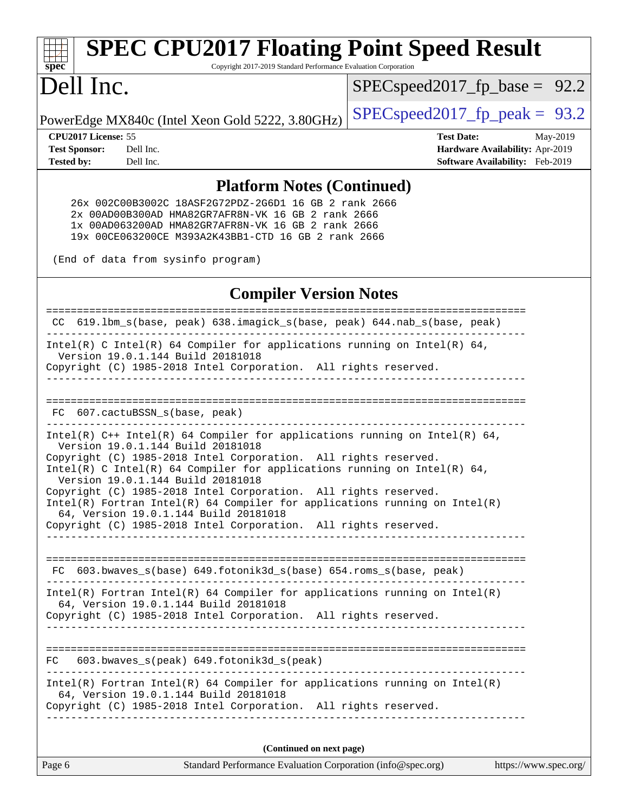# **[spec](http://www.spec.org/)**

# **[SPEC CPU2017 Floating Point Speed Result](http://www.spec.org/auto/cpu2017/Docs/result-fields.html#SPECCPU2017FloatingPointSpeedResult)**

Copyright 2017-2019 Standard Performance Evaluation Corporation

## Dell Inc.

 $SPECspeed2017_fp\_base = 92.2$ 

PowerEdge MX840c (Intel Xeon Gold 5222, 3.80GHz)  $\left|$  [SPECspeed2017\\_fp\\_peak =](http://www.spec.org/auto/cpu2017/Docs/result-fields.html#SPECspeed2017fppeak) 93.2

**[CPU2017 License:](http://www.spec.org/auto/cpu2017/Docs/result-fields.html#CPU2017License)** 55 **[Test Date:](http://www.spec.org/auto/cpu2017/Docs/result-fields.html#TestDate)** May-2019 **[Test Sponsor:](http://www.spec.org/auto/cpu2017/Docs/result-fields.html#TestSponsor)** Dell Inc. **[Hardware Availability:](http://www.spec.org/auto/cpu2017/Docs/result-fields.html#HardwareAvailability)** Apr-2019 **[Tested by:](http://www.spec.org/auto/cpu2017/Docs/result-fields.html#Testedby)** Dell Inc. **[Software Availability:](http://www.spec.org/auto/cpu2017/Docs/result-fields.html#SoftwareAvailability)** Feb-2019

#### **[Platform Notes \(Continued\)](http://www.spec.org/auto/cpu2017/Docs/result-fields.html#PlatformNotes)**

 26x 002C00B3002C 18ASF2G72PDZ-2G6D1 16 GB 2 rank 2666 2x 00AD00B300AD HMA82GR7AFR8N-VK 16 GB 2 rank 2666 1x 00AD063200AD HMA82GR7AFR8N-VK 16 GB 2 rank 2666 19x 00CE063200CE M393A2K43BB1-CTD 16 GB 2 rank 2666

(End of data from sysinfo program)

#### **[Compiler Version Notes](http://www.spec.org/auto/cpu2017/Docs/result-fields.html#CompilerVersionNotes)**

============================================================================== CC 619.lbm\_s(base, peak) 638.imagick\_s(base, peak) 644.nab\_s(base, peak) ------------------------------------------------------------------------------ Intel(R) C Intel(R) 64 Compiler for applications running on Intel(R) 64, Version 19.0.1.144 Build 20181018 Copyright (C) 1985-2018 Intel Corporation. All rights reserved. ------------------------------------------------------------------------------ ============================================================================== FC 607.cactuBSSN s(base, peak) ------------------------------------------------------------------------------ Intel(R) C++ Intel(R) 64 Compiler for applications running on Intel(R) 64, Version 19.0.1.144 Build 20181018 Copyright (C) 1985-2018 Intel Corporation. All rights reserved. Intel(R) C Intel(R) 64 Compiler for applications running on Intel(R)  $64$ , Version 19.0.1.144 Build 20181018 Copyright (C) 1985-2018 Intel Corporation. All rights reserved. Intel(R) Fortran Intel(R) 64 Compiler for applications running on Intel(R) 64, Version 19.0.1.144 Build 20181018 Copyright (C) 1985-2018 Intel Corporation. All rights reserved. ------------------------------------------------------------------------------ ============================================================================== FC 603.bwaves\_s(base) 649.fotonik3d\_s(base) 654.roms\_s(base, peak) ------------------------------------------------------------------------------ Intel(R) Fortran Intel(R) 64 Compiler for applications running on Intel(R) 64, Version 19.0.1.144 Build 20181018 Copyright (C) 1985-2018 Intel Corporation. All rights reserved. ------------------------------------------------------------------------------ ============================================================================== FC 603.bwaves\_s(peak) 649.fotonik3d\_s(peak) ------------------------------------------------------------------------------ Intel(R) Fortran Intel(R) 64 Compiler for applications running on Intel(R) 64, Version 19.0.1.144 Build 20181018 Copyright (C) 1985-2018 Intel Corporation. All rights reserved. ------------------------------------------------------------------------------ **(Continued on next page)**

| Page 6 | Standard Performance Evaluation Corporation (info@spec.org) |  | https://www.spec.org/ |
|--------|-------------------------------------------------------------|--|-----------------------|
|--------|-------------------------------------------------------------|--|-----------------------|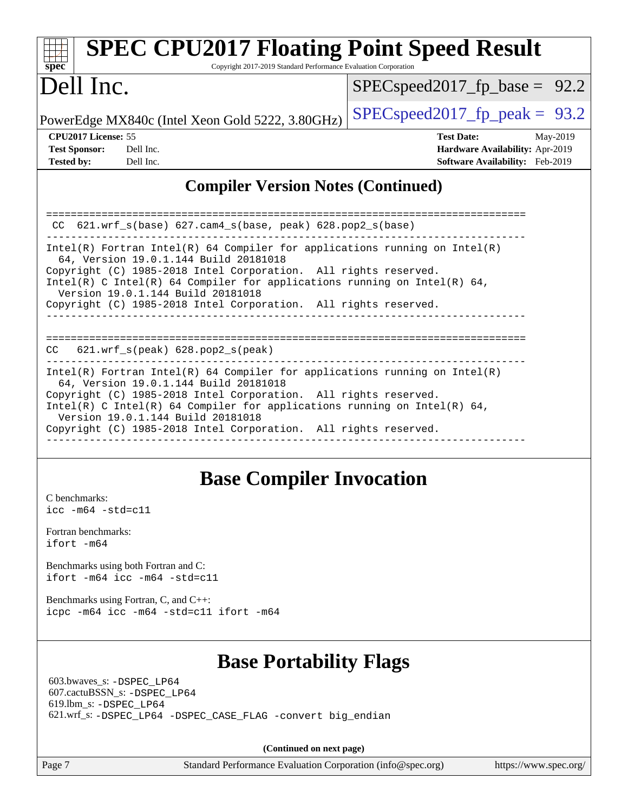| <b>SPEC CPU2017 Floating Point Speed Result</b><br>Spec<br>Copyright 2017-2019 Standard Performance Evaluation Corporation                                                                                                                                                                                                                                                                                                                 |                                                                                                     |  |  |  |  |  |
|--------------------------------------------------------------------------------------------------------------------------------------------------------------------------------------------------------------------------------------------------------------------------------------------------------------------------------------------------------------------------------------------------------------------------------------------|-----------------------------------------------------------------------------------------------------|--|--|--|--|--|
| Dell Inc.                                                                                                                                                                                                                                                                                                                                                                                                                                  | $SPEC speed2017_f p\_base = 92.2$                                                                   |  |  |  |  |  |
| PowerEdge MX840c (Intel Xeon Gold 5222, 3.80GHz)                                                                                                                                                                                                                                                                                                                                                                                           | $SPEC speed2017_fp\_peak = 93.2$                                                                    |  |  |  |  |  |
| CPU <sub>2017</sub> License: 55<br><b>Test Sponsor:</b><br>Dell Inc.<br><b>Tested by:</b><br>Dell Inc.                                                                                                                                                                                                                                                                                                                                     | <b>Test Date:</b><br>May-2019<br>Hardware Availability: Apr-2019<br>Software Availability: Feb-2019 |  |  |  |  |  |
| <b>Compiler Version Notes (Continued)</b>                                                                                                                                                                                                                                                                                                                                                                                                  |                                                                                                     |  |  |  |  |  |
| CC 621.wrf_s(base) 627.cam4_s(base, peak) 628.pop2_s(base)<br>$Intel(R)$ Fortran Intel(R) 64 Compiler for applications running on Intel(R)<br>64, Version 19.0.1.144 Build 20181018<br>Copyright (C) 1985-2018 Intel Corporation. All rights reserved.<br>Intel(R) C Intel(R) 64 Compiler for applications running on Intel(R) 64,<br>Version 19.0.1.144 Build 20181018<br>Copyright (C) 1985-2018 Intel Corporation. All rights reserved. |                                                                                                     |  |  |  |  |  |
| $621.wrf_s(peak)$ $628.pop2_s(peak)$<br>CC.<br>$Intel(R)$ Fortran Intel(R) 64 Compiler for applications running on Intel(R)<br>64, Version 19.0.1.144 Build 20181018                                                                                                                                                                                                                                                                       |                                                                                                     |  |  |  |  |  |
| Copyright (C) 1985-2018 Intel Corporation. All rights reserved.<br>Intel(R) C Intel(R) 64 Compiler for applications running on Intel(R) 64,<br>Version 19.0.1.144 Build 20181018<br>Copyright (C) 1985-2018 Intel Corporation. All rights reserved.                                                                                                                                                                                        |                                                                                                     |  |  |  |  |  |

## **[Base Compiler Invocation](http://www.spec.org/auto/cpu2017/Docs/result-fields.html#BaseCompilerInvocation)**

------------------------------------------------------------------------------

[C benchmarks](http://www.spec.org/auto/cpu2017/Docs/result-fields.html#Cbenchmarks): [icc -m64 -std=c11](http://www.spec.org/cpu2017/results/res2019q3/cpu2017-20190624-15396.flags.html#user_CCbase_intel_icc_64bit_c11_33ee0cdaae7deeeab2a9725423ba97205ce30f63b9926c2519791662299b76a0318f32ddfffdc46587804de3178b4f9328c46fa7c2b0cd779d7a61945c91cd35)

[Fortran benchmarks](http://www.spec.org/auto/cpu2017/Docs/result-fields.html#Fortranbenchmarks): [ifort -m64](http://www.spec.org/cpu2017/results/res2019q3/cpu2017-20190624-15396.flags.html#user_FCbase_intel_ifort_64bit_24f2bb282fbaeffd6157abe4f878425411749daecae9a33200eee2bee2fe76f3b89351d69a8130dd5949958ce389cf37ff59a95e7a40d588e8d3a57e0c3fd751)

[Benchmarks using both Fortran and C](http://www.spec.org/auto/cpu2017/Docs/result-fields.html#BenchmarksusingbothFortranandC): [ifort -m64](http://www.spec.org/cpu2017/results/res2019q3/cpu2017-20190624-15396.flags.html#user_CC_FCbase_intel_ifort_64bit_24f2bb282fbaeffd6157abe4f878425411749daecae9a33200eee2bee2fe76f3b89351d69a8130dd5949958ce389cf37ff59a95e7a40d588e8d3a57e0c3fd751) [icc -m64 -std=c11](http://www.spec.org/cpu2017/results/res2019q3/cpu2017-20190624-15396.flags.html#user_CC_FCbase_intel_icc_64bit_c11_33ee0cdaae7deeeab2a9725423ba97205ce30f63b9926c2519791662299b76a0318f32ddfffdc46587804de3178b4f9328c46fa7c2b0cd779d7a61945c91cd35)

[Benchmarks using Fortran, C, and C++:](http://www.spec.org/auto/cpu2017/Docs/result-fields.html#BenchmarksusingFortranCandCXX) [icpc -m64](http://www.spec.org/cpu2017/results/res2019q3/cpu2017-20190624-15396.flags.html#user_CC_CXX_FCbase_intel_icpc_64bit_4ecb2543ae3f1412ef961e0650ca070fec7b7afdcd6ed48761b84423119d1bf6bdf5cad15b44d48e7256388bc77273b966e5eb805aefd121eb22e9299b2ec9d9) [icc -m64 -std=c11](http://www.spec.org/cpu2017/results/res2019q3/cpu2017-20190624-15396.flags.html#user_CC_CXX_FCbase_intel_icc_64bit_c11_33ee0cdaae7deeeab2a9725423ba97205ce30f63b9926c2519791662299b76a0318f32ddfffdc46587804de3178b4f9328c46fa7c2b0cd779d7a61945c91cd35) [ifort -m64](http://www.spec.org/cpu2017/results/res2019q3/cpu2017-20190624-15396.flags.html#user_CC_CXX_FCbase_intel_ifort_64bit_24f2bb282fbaeffd6157abe4f878425411749daecae9a33200eee2bee2fe76f3b89351d69a8130dd5949958ce389cf37ff59a95e7a40d588e8d3a57e0c3fd751)

## **[Base Portability Flags](http://www.spec.org/auto/cpu2017/Docs/result-fields.html#BasePortabilityFlags)**

 603.bwaves\_s: [-DSPEC\\_LP64](http://www.spec.org/cpu2017/results/res2019q3/cpu2017-20190624-15396.flags.html#suite_basePORTABILITY603_bwaves_s_DSPEC_LP64) 607.cactuBSSN\_s: [-DSPEC\\_LP64](http://www.spec.org/cpu2017/results/res2019q3/cpu2017-20190624-15396.flags.html#suite_basePORTABILITY607_cactuBSSN_s_DSPEC_LP64) 619.lbm\_s: [-DSPEC\\_LP64](http://www.spec.org/cpu2017/results/res2019q3/cpu2017-20190624-15396.flags.html#suite_basePORTABILITY619_lbm_s_DSPEC_LP64) 621.wrf\_s: [-DSPEC\\_LP64](http://www.spec.org/cpu2017/results/res2019q3/cpu2017-20190624-15396.flags.html#suite_basePORTABILITY621_wrf_s_DSPEC_LP64) [-DSPEC\\_CASE\\_FLAG](http://www.spec.org/cpu2017/results/res2019q3/cpu2017-20190624-15396.flags.html#b621.wrf_s_baseCPORTABILITY_DSPEC_CASE_FLAG) [-convert big\\_endian](http://www.spec.org/cpu2017/results/res2019q3/cpu2017-20190624-15396.flags.html#user_baseFPORTABILITY621_wrf_s_convert_big_endian_c3194028bc08c63ac5d04de18c48ce6d347e4e562e8892b8bdbdc0214820426deb8554edfa529a3fb25a586e65a3d812c835984020483e7e73212c4d31a38223)

**(Continued on next page)**

Page 7 Standard Performance Evaluation Corporation [\(info@spec.org\)](mailto:info@spec.org) <https://www.spec.org/>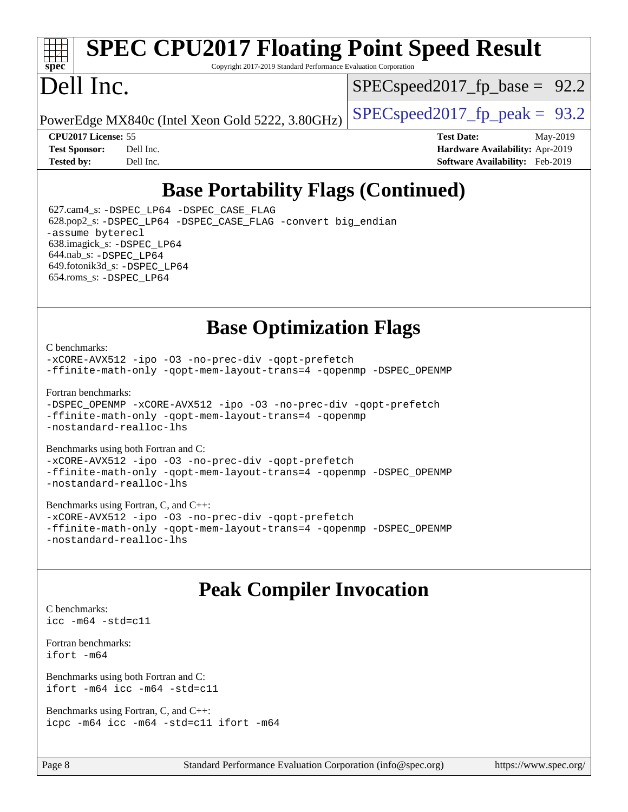# **[spec](http://www.spec.org/)**

# **[SPEC CPU2017 Floating Point Speed Result](http://www.spec.org/auto/cpu2017/Docs/result-fields.html#SPECCPU2017FloatingPointSpeedResult)**

Copyright 2017-2019 Standard Performance Evaluation Corporation

## Dell Inc.

 $SPECspeed2017_fp\_base = 92.2$ 

PowerEdge MX840c (Intel Xeon Gold 5222, 3.80GHz)  $\left|$  [SPECspeed2017\\_fp\\_peak =](http://www.spec.org/auto/cpu2017/Docs/result-fields.html#SPECspeed2017fppeak) 93.2

**[CPU2017 License:](http://www.spec.org/auto/cpu2017/Docs/result-fields.html#CPU2017License)** 55 **[Test Date:](http://www.spec.org/auto/cpu2017/Docs/result-fields.html#TestDate)** May-2019 **[Test Sponsor:](http://www.spec.org/auto/cpu2017/Docs/result-fields.html#TestSponsor)** Dell Inc. **[Hardware Availability:](http://www.spec.org/auto/cpu2017/Docs/result-fields.html#HardwareAvailability)** Apr-2019 **[Tested by:](http://www.spec.org/auto/cpu2017/Docs/result-fields.html#Testedby)** Dell Inc. **[Software Availability:](http://www.spec.org/auto/cpu2017/Docs/result-fields.html#SoftwareAvailability)** Feb-2019

## **[Base Portability Flags \(Continued\)](http://www.spec.org/auto/cpu2017/Docs/result-fields.html#BasePortabilityFlags)**

 627.cam4\_s: [-DSPEC\\_LP64](http://www.spec.org/cpu2017/results/res2019q3/cpu2017-20190624-15396.flags.html#suite_basePORTABILITY627_cam4_s_DSPEC_LP64) [-DSPEC\\_CASE\\_FLAG](http://www.spec.org/cpu2017/results/res2019q3/cpu2017-20190624-15396.flags.html#b627.cam4_s_baseCPORTABILITY_DSPEC_CASE_FLAG) 628.pop2\_s: [-DSPEC\\_LP64](http://www.spec.org/cpu2017/results/res2019q3/cpu2017-20190624-15396.flags.html#suite_basePORTABILITY628_pop2_s_DSPEC_LP64) [-DSPEC\\_CASE\\_FLAG](http://www.spec.org/cpu2017/results/res2019q3/cpu2017-20190624-15396.flags.html#b628.pop2_s_baseCPORTABILITY_DSPEC_CASE_FLAG) [-convert big\\_endian](http://www.spec.org/cpu2017/results/res2019q3/cpu2017-20190624-15396.flags.html#user_baseFPORTABILITY628_pop2_s_convert_big_endian_c3194028bc08c63ac5d04de18c48ce6d347e4e562e8892b8bdbdc0214820426deb8554edfa529a3fb25a586e65a3d812c835984020483e7e73212c4d31a38223) [-assume byterecl](http://www.spec.org/cpu2017/results/res2019q3/cpu2017-20190624-15396.flags.html#user_baseFPORTABILITY628_pop2_s_assume_byterecl_7e47d18b9513cf18525430bbf0f2177aa9bf368bc7a059c09b2c06a34b53bd3447c950d3f8d6c70e3faf3a05c8557d66a5798b567902e8849adc142926523472) 638.imagick\_s: [-DSPEC\\_LP64](http://www.spec.org/cpu2017/results/res2019q3/cpu2017-20190624-15396.flags.html#suite_basePORTABILITY638_imagick_s_DSPEC_LP64) 644.nab\_s: [-DSPEC\\_LP64](http://www.spec.org/cpu2017/results/res2019q3/cpu2017-20190624-15396.flags.html#suite_basePORTABILITY644_nab_s_DSPEC_LP64) 649.fotonik3d\_s: [-DSPEC\\_LP64](http://www.spec.org/cpu2017/results/res2019q3/cpu2017-20190624-15396.flags.html#suite_basePORTABILITY649_fotonik3d_s_DSPEC_LP64) 654.roms\_s: [-DSPEC\\_LP64](http://www.spec.org/cpu2017/results/res2019q3/cpu2017-20190624-15396.flags.html#suite_basePORTABILITY654_roms_s_DSPEC_LP64)

## **[Base Optimization Flags](http://www.spec.org/auto/cpu2017/Docs/result-fields.html#BaseOptimizationFlags)**

[C benchmarks](http://www.spec.org/auto/cpu2017/Docs/result-fields.html#Cbenchmarks):

[-xCORE-AVX512](http://www.spec.org/cpu2017/results/res2019q3/cpu2017-20190624-15396.flags.html#user_CCbase_f-xCORE-AVX512) [-ipo](http://www.spec.org/cpu2017/results/res2019q3/cpu2017-20190624-15396.flags.html#user_CCbase_f-ipo) [-O3](http://www.spec.org/cpu2017/results/res2019q3/cpu2017-20190624-15396.flags.html#user_CCbase_f-O3) [-no-prec-div](http://www.spec.org/cpu2017/results/res2019q3/cpu2017-20190624-15396.flags.html#user_CCbase_f-no-prec-div) [-qopt-prefetch](http://www.spec.org/cpu2017/results/res2019q3/cpu2017-20190624-15396.flags.html#user_CCbase_f-qopt-prefetch) [-ffinite-math-only](http://www.spec.org/cpu2017/results/res2019q3/cpu2017-20190624-15396.flags.html#user_CCbase_f_finite_math_only_cb91587bd2077682c4b38af759c288ed7c732db004271a9512da14a4f8007909a5f1427ecbf1a0fb78ff2a814402c6114ac565ca162485bbcae155b5e4258871) [-qopt-mem-layout-trans=4](http://www.spec.org/cpu2017/results/res2019q3/cpu2017-20190624-15396.flags.html#user_CCbase_f-qopt-mem-layout-trans_fa39e755916c150a61361b7846f310bcdf6f04e385ef281cadf3647acec3f0ae266d1a1d22d972a7087a248fd4e6ca390a3634700869573d231a252c784941a8) [-qopenmp](http://www.spec.org/cpu2017/results/res2019q3/cpu2017-20190624-15396.flags.html#user_CCbase_qopenmp_16be0c44f24f464004c6784a7acb94aca937f053568ce72f94b139a11c7c168634a55f6653758ddd83bcf7b8463e8028bb0b48b77bcddc6b78d5d95bb1df2967) [-DSPEC\\_OPENMP](http://www.spec.org/cpu2017/results/res2019q3/cpu2017-20190624-15396.flags.html#suite_CCbase_DSPEC_OPENMP)

[Fortran benchmarks](http://www.spec.org/auto/cpu2017/Docs/result-fields.html#Fortranbenchmarks):

[-DSPEC\\_OPENMP](http://www.spec.org/cpu2017/results/res2019q3/cpu2017-20190624-15396.flags.html#suite_FCbase_DSPEC_OPENMP) [-xCORE-AVX512](http://www.spec.org/cpu2017/results/res2019q3/cpu2017-20190624-15396.flags.html#user_FCbase_f-xCORE-AVX512) [-ipo](http://www.spec.org/cpu2017/results/res2019q3/cpu2017-20190624-15396.flags.html#user_FCbase_f-ipo) [-O3](http://www.spec.org/cpu2017/results/res2019q3/cpu2017-20190624-15396.flags.html#user_FCbase_f-O3) [-no-prec-div](http://www.spec.org/cpu2017/results/res2019q3/cpu2017-20190624-15396.flags.html#user_FCbase_f-no-prec-div) [-qopt-prefetch](http://www.spec.org/cpu2017/results/res2019q3/cpu2017-20190624-15396.flags.html#user_FCbase_f-qopt-prefetch) [-ffinite-math-only](http://www.spec.org/cpu2017/results/res2019q3/cpu2017-20190624-15396.flags.html#user_FCbase_f_finite_math_only_cb91587bd2077682c4b38af759c288ed7c732db004271a9512da14a4f8007909a5f1427ecbf1a0fb78ff2a814402c6114ac565ca162485bbcae155b5e4258871) [-qopt-mem-layout-trans=4](http://www.spec.org/cpu2017/results/res2019q3/cpu2017-20190624-15396.flags.html#user_FCbase_f-qopt-mem-layout-trans_fa39e755916c150a61361b7846f310bcdf6f04e385ef281cadf3647acec3f0ae266d1a1d22d972a7087a248fd4e6ca390a3634700869573d231a252c784941a8) [-qopenmp](http://www.spec.org/cpu2017/results/res2019q3/cpu2017-20190624-15396.flags.html#user_FCbase_qopenmp_16be0c44f24f464004c6784a7acb94aca937f053568ce72f94b139a11c7c168634a55f6653758ddd83bcf7b8463e8028bb0b48b77bcddc6b78d5d95bb1df2967) [-nostandard-realloc-lhs](http://www.spec.org/cpu2017/results/res2019q3/cpu2017-20190624-15396.flags.html#user_FCbase_f_2003_std_realloc_82b4557e90729c0f113870c07e44d33d6f5a304b4f63d4c15d2d0f1fab99f5daaed73bdb9275d9ae411527f28b936061aa8b9c8f2d63842963b95c9dd6426b8a)

[Benchmarks using both Fortran and C](http://www.spec.org/auto/cpu2017/Docs/result-fields.html#BenchmarksusingbothFortranandC): [-xCORE-AVX512](http://www.spec.org/cpu2017/results/res2019q3/cpu2017-20190624-15396.flags.html#user_CC_FCbase_f-xCORE-AVX512) [-ipo](http://www.spec.org/cpu2017/results/res2019q3/cpu2017-20190624-15396.flags.html#user_CC_FCbase_f-ipo) [-O3](http://www.spec.org/cpu2017/results/res2019q3/cpu2017-20190624-15396.flags.html#user_CC_FCbase_f-O3) [-no-prec-div](http://www.spec.org/cpu2017/results/res2019q3/cpu2017-20190624-15396.flags.html#user_CC_FCbase_f-no-prec-div) [-qopt-prefetch](http://www.spec.org/cpu2017/results/res2019q3/cpu2017-20190624-15396.flags.html#user_CC_FCbase_f-qopt-prefetch)

[-ffinite-math-only](http://www.spec.org/cpu2017/results/res2019q3/cpu2017-20190624-15396.flags.html#user_CC_FCbase_f_finite_math_only_cb91587bd2077682c4b38af759c288ed7c732db004271a9512da14a4f8007909a5f1427ecbf1a0fb78ff2a814402c6114ac565ca162485bbcae155b5e4258871) [-qopt-mem-layout-trans=4](http://www.spec.org/cpu2017/results/res2019q3/cpu2017-20190624-15396.flags.html#user_CC_FCbase_f-qopt-mem-layout-trans_fa39e755916c150a61361b7846f310bcdf6f04e385ef281cadf3647acec3f0ae266d1a1d22d972a7087a248fd4e6ca390a3634700869573d231a252c784941a8) [-qopenmp](http://www.spec.org/cpu2017/results/res2019q3/cpu2017-20190624-15396.flags.html#user_CC_FCbase_qopenmp_16be0c44f24f464004c6784a7acb94aca937f053568ce72f94b139a11c7c168634a55f6653758ddd83bcf7b8463e8028bb0b48b77bcddc6b78d5d95bb1df2967) [-DSPEC\\_OPENMP](http://www.spec.org/cpu2017/results/res2019q3/cpu2017-20190624-15396.flags.html#suite_CC_FCbase_DSPEC_OPENMP) [-nostandard-realloc-lhs](http://www.spec.org/cpu2017/results/res2019q3/cpu2017-20190624-15396.flags.html#user_CC_FCbase_f_2003_std_realloc_82b4557e90729c0f113870c07e44d33d6f5a304b4f63d4c15d2d0f1fab99f5daaed73bdb9275d9ae411527f28b936061aa8b9c8f2d63842963b95c9dd6426b8a)

[Benchmarks using Fortran, C, and C++:](http://www.spec.org/auto/cpu2017/Docs/result-fields.html#BenchmarksusingFortranCandCXX) [-xCORE-AVX512](http://www.spec.org/cpu2017/results/res2019q3/cpu2017-20190624-15396.flags.html#user_CC_CXX_FCbase_f-xCORE-AVX512) [-ipo](http://www.spec.org/cpu2017/results/res2019q3/cpu2017-20190624-15396.flags.html#user_CC_CXX_FCbase_f-ipo) [-O3](http://www.spec.org/cpu2017/results/res2019q3/cpu2017-20190624-15396.flags.html#user_CC_CXX_FCbase_f-O3) [-no-prec-div](http://www.spec.org/cpu2017/results/res2019q3/cpu2017-20190624-15396.flags.html#user_CC_CXX_FCbase_f-no-prec-div) [-qopt-prefetch](http://www.spec.org/cpu2017/results/res2019q3/cpu2017-20190624-15396.flags.html#user_CC_CXX_FCbase_f-qopt-prefetch) [-ffinite-math-only](http://www.spec.org/cpu2017/results/res2019q3/cpu2017-20190624-15396.flags.html#user_CC_CXX_FCbase_f_finite_math_only_cb91587bd2077682c4b38af759c288ed7c732db004271a9512da14a4f8007909a5f1427ecbf1a0fb78ff2a814402c6114ac565ca162485bbcae155b5e4258871) [-qopt-mem-layout-trans=4](http://www.spec.org/cpu2017/results/res2019q3/cpu2017-20190624-15396.flags.html#user_CC_CXX_FCbase_f-qopt-mem-layout-trans_fa39e755916c150a61361b7846f310bcdf6f04e385ef281cadf3647acec3f0ae266d1a1d22d972a7087a248fd4e6ca390a3634700869573d231a252c784941a8) [-qopenmp](http://www.spec.org/cpu2017/results/res2019q3/cpu2017-20190624-15396.flags.html#user_CC_CXX_FCbase_qopenmp_16be0c44f24f464004c6784a7acb94aca937f053568ce72f94b139a11c7c168634a55f6653758ddd83bcf7b8463e8028bb0b48b77bcddc6b78d5d95bb1df2967) [-DSPEC\\_OPENMP](http://www.spec.org/cpu2017/results/res2019q3/cpu2017-20190624-15396.flags.html#suite_CC_CXX_FCbase_DSPEC_OPENMP) [-nostandard-realloc-lhs](http://www.spec.org/cpu2017/results/res2019q3/cpu2017-20190624-15396.flags.html#user_CC_CXX_FCbase_f_2003_std_realloc_82b4557e90729c0f113870c07e44d33d6f5a304b4f63d4c15d2d0f1fab99f5daaed73bdb9275d9ae411527f28b936061aa8b9c8f2d63842963b95c9dd6426b8a)

## **[Peak Compiler Invocation](http://www.spec.org/auto/cpu2017/Docs/result-fields.html#PeakCompilerInvocation)**

[C benchmarks](http://www.spec.org/auto/cpu2017/Docs/result-fields.html#Cbenchmarks): [icc -m64 -std=c11](http://www.spec.org/cpu2017/results/res2019q3/cpu2017-20190624-15396.flags.html#user_CCpeak_intel_icc_64bit_c11_33ee0cdaae7deeeab2a9725423ba97205ce30f63b9926c2519791662299b76a0318f32ddfffdc46587804de3178b4f9328c46fa7c2b0cd779d7a61945c91cd35)

[Fortran benchmarks](http://www.spec.org/auto/cpu2017/Docs/result-fields.html#Fortranbenchmarks): [ifort -m64](http://www.spec.org/cpu2017/results/res2019q3/cpu2017-20190624-15396.flags.html#user_FCpeak_intel_ifort_64bit_24f2bb282fbaeffd6157abe4f878425411749daecae9a33200eee2bee2fe76f3b89351d69a8130dd5949958ce389cf37ff59a95e7a40d588e8d3a57e0c3fd751)

[Benchmarks using both Fortran and C](http://www.spec.org/auto/cpu2017/Docs/result-fields.html#BenchmarksusingbothFortranandC): [ifort -m64](http://www.spec.org/cpu2017/results/res2019q3/cpu2017-20190624-15396.flags.html#user_CC_FCpeak_intel_ifort_64bit_24f2bb282fbaeffd6157abe4f878425411749daecae9a33200eee2bee2fe76f3b89351d69a8130dd5949958ce389cf37ff59a95e7a40d588e8d3a57e0c3fd751) [icc -m64 -std=c11](http://www.spec.org/cpu2017/results/res2019q3/cpu2017-20190624-15396.flags.html#user_CC_FCpeak_intel_icc_64bit_c11_33ee0cdaae7deeeab2a9725423ba97205ce30f63b9926c2519791662299b76a0318f32ddfffdc46587804de3178b4f9328c46fa7c2b0cd779d7a61945c91cd35)

[Benchmarks using Fortran, C, and C++:](http://www.spec.org/auto/cpu2017/Docs/result-fields.html#BenchmarksusingFortranCandCXX) [icpc -m64](http://www.spec.org/cpu2017/results/res2019q3/cpu2017-20190624-15396.flags.html#user_CC_CXX_FCpeak_intel_icpc_64bit_4ecb2543ae3f1412ef961e0650ca070fec7b7afdcd6ed48761b84423119d1bf6bdf5cad15b44d48e7256388bc77273b966e5eb805aefd121eb22e9299b2ec9d9) [icc -m64 -std=c11](http://www.spec.org/cpu2017/results/res2019q3/cpu2017-20190624-15396.flags.html#user_CC_CXX_FCpeak_intel_icc_64bit_c11_33ee0cdaae7deeeab2a9725423ba97205ce30f63b9926c2519791662299b76a0318f32ddfffdc46587804de3178b4f9328c46fa7c2b0cd779d7a61945c91cd35) [ifort -m64](http://www.spec.org/cpu2017/results/res2019q3/cpu2017-20190624-15396.flags.html#user_CC_CXX_FCpeak_intel_ifort_64bit_24f2bb282fbaeffd6157abe4f878425411749daecae9a33200eee2bee2fe76f3b89351d69a8130dd5949958ce389cf37ff59a95e7a40d588e8d3a57e0c3fd751)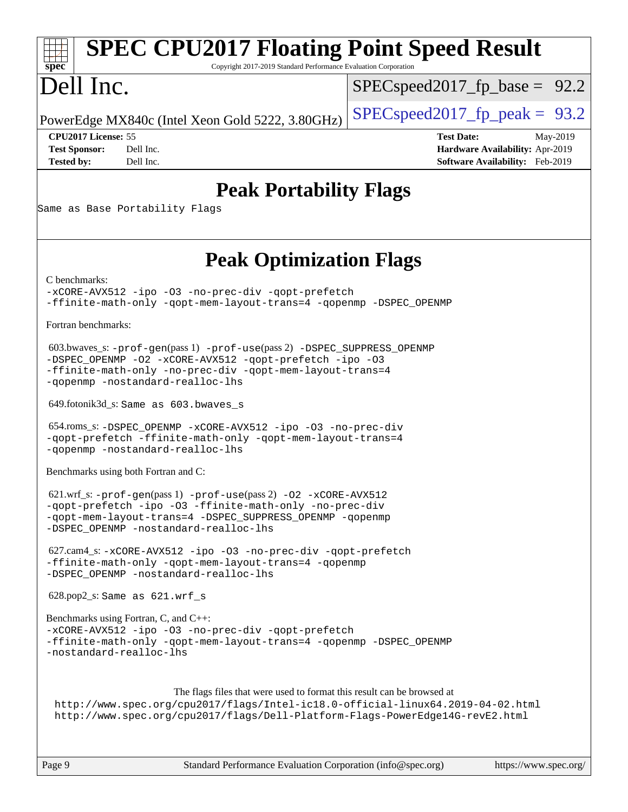#### Page 9 Standard Performance Evaluation Corporation [\(info@spec.org\)](mailto:info@spec.org) <https://www.spec.org/> **[spec](http://www.spec.org/) [SPEC CPU2017 Floating Point Speed Result](http://www.spec.org/auto/cpu2017/Docs/result-fields.html#SPECCPU2017FloatingPointSpeedResult)** Copyright 2017-2019 Standard Performance Evaluation Corporation Dell Inc. PowerEdge MX840c (Intel Xeon Gold 5222, 3.80GHz)  $\left|$  [SPECspeed2017\\_fp\\_peak =](http://www.spec.org/auto/cpu2017/Docs/result-fields.html#SPECspeed2017fppeak) 93.2  $SPECspeed2017_fp\_base = 92.2$ **[CPU2017 License:](http://www.spec.org/auto/cpu2017/Docs/result-fields.html#CPU2017License)** 55 **[Test Date:](http://www.spec.org/auto/cpu2017/Docs/result-fields.html#TestDate)** May-2019 **[Test Sponsor:](http://www.spec.org/auto/cpu2017/Docs/result-fields.html#TestSponsor)** Dell Inc. **[Hardware Availability:](http://www.spec.org/auto/cpu2017/Docs/result-fields.html#HardwareAvailability)** Apr-2019 **[Tested by:](http://www.spec.org/auto/cpu2017/Docs/result-fields.html#Testedby)** Dell Inc. **[Software Availability:](http://www.spec.org/auto/cpu2017/Docs/result-fields.html#SoftwareAvailability)** Feb-2019 **[Peak Portability Flags](http://www.spec.org/auto/cpu2017/Docs/result-fields.html#PeakPortabilityFlags)** Same as Base Portability Flags **[Peak Optimization Flags](http://www.spec.org/auto/cpu2017/Docs/result-fields.html#PeakOptimizationFlags)** [C benchmarks](http://www.spec.org/auto/cpu2017/Docs/result-fields.html#Cbenchmarks): [-xCORE-AVX512](http://www.spec.org/cpu2017/results/res2019q3/cpu2017-20190624-15396.flags.html#user_CCpeak_f-xCORE-AVX512) [-ipo](http://www.spec.org/cpu2017/results/res2019q3/cpu2017-20190624-15396.flags.html#user_CCpeak_f-ipo) [-O3](http://www.spec.org/cpu2017/results/res2019q3/cpu2017-20190624-15396.flags.html#user_CCpeak_f-O3) [-no-prec-div](http://www.spec.org/cpu2017/results/res2019q3/cpu2017-20190624-15396.flags.html#user_CCpeak_f-no-prec-div) [-qopt-prefetch](http://www.spec.org/cpu2017/results/res2019q3/cpu2017-20190624-15396.flags.html#user_CCpeak_f-qopt-prefetch) [-ffinite-math-only](http://www.spec.org/cpu2017/results/res2019q3/cpu2017-20190624-15396.flags.html#user_CCpeak_f_finite_math_only_cb91587bd2077682c4b38af759c288ed7c732db004271a9512da14a4f8007909a5f1427ecbf1a0fb78ff2a814402c6114ac565ca162485bbcae155b5e4258871) [-qopt-mem-layout-trans=4](http://www.spec.org/cpu2017/results/res2019q3/cpu2017-20190624-15396.flags.html#user_CCpeak_f-qopt-mem-layout-trans_fa39e755916c150a61361b7846f310bcdf6f04e385ef281cadf3647acec3f0ae266d1a1d22d972a7087a248fd4e6ca390a3634700869573d231a252c784941a8) [-qopenmp](http://www.spec.org/cpu2017/results/res2019q3/cpu2017-20190624-15396.flags.html#user_CCpeak_qopenmp_16be0c44f24f464004c6784a7acb94aca937f053568ce72f94b139a11c7c168634a55f6653758ddd83bcf7b8463e8028bb0b48b77bcddc6b78d5d95bb1df2967) [-DSPEC\\_OPENMP](http://www.spec.org/cpu2017/results/res2019q3/cpu2017-20190624-15396.flags.html#suite_CCpeak_DSPEC_OPENMP) [Fortran benchmarks](http://www.spec.org/auto/cpu2017/Docs/result-fields.html#Fortranbenchmarks): 603.bwaves\_s: [-prof-gen](http://www.spec.org/cpu2017/results/res2019q3/cpu2017-20190624-15396.flags.html#user_peakPASS1_FFLAGSPASS1_LDFLAGS603_bwaves_s_prof_gen_5aa4926d6013ddb2a31985c654b3eb18169fc0c6952a63635c234f711e6e63dd76e94ad52365559451ec499a2cdb89e4dc58ba4c67ef54ca681ffbe1461d6b36)(pass 1) [-prof-use](http://www.spec.org/cpu2017/results/res2019q3/cpu2017-20190624-15396.flags.html#user_peakPASS2_FFLAGSPASS2_LDFLAGS603_bwaves_s_prof_use_1a21ceae95f36a2b53c25747139a6c16ca95bd9def2a207b4f0849963b97e94f5260e30a0c64f4bb623698870e679ca08317ef8150905d41bd88c6f78df73f19)(pass 2) [-DSPEC\\_SUPPRESS\\_OPENMP](http://www.spec.org/cpu2017/results/res2019q3/cpu2017-20190624-15396.flags.html#suite_peakPASS1_FOPTIMIZE603_bwaves_s_DSPEC_SUPPRESS_OPENMP) [-DSPEC\\_OPENMP](http://www.spec.org/cpu2017/results/res2019q3/cpu2017-20190624-15396.flags.html#suite_peakPASS2_FOPTIMIZE603_bwaves_s_DSPEC_OPENMP) [-O2](http://www.spec.org/cpu2017/results/res2019q3/cpu2017-20190624-15396.flags.html#user_peakPASS1_FOPTIMIZE603_bwaves_s_f-O2) [-xCORE-AVX512](http://www.spec.org/cpu2017/results/res2019q3/cpu2017-20190624-15396.flags.html#user_peakPASS2_FOPTIMIZE603_bwaves_s_f-xCORE-AVX512) [-qopt-prefetch](http://www.spec.org/cpu2017/results/res2019q3/cpu2017-20190624-15396.flags.html#user_peakPASS1_FOPTIMIZEPASS2_FOPTIMIZE603_bwaves_s_f-qopt-prefetch) [-ipo](http://www.spec.org/cpu2017/results/res2019q3/cpu2017-20190624-15396.flags.html#user_peakPASS2_FOPTIMIZE603_bwaves_s_f-ipo) [-O3](http://www.spec.org/cpu2017/results/res2019q3/cpu2017-20190624-15396.flags.html#user_peakPASS2_FOPTIMIZE603_bwaves_s_f-O3) [-ffinite-math-only](http://www.spec.org/cpu2017/results/res2019q3/cpu2017-20190624-15396.flags.html#user_peakPASS1_FOPTIMIZEPASS2_FOPTIMIZE603_bwaves_s_f_finite_math_only_cb91587bd2077682c4b38af759c288ed7c732db004271a9512da14a4f8007909a5f1427ecbf1a0fb78ff2a814402c6114ac565ca162485bbcae155b5e4258871) [-no-prec-div](http://www.spec.org/cpu2017/results/res2019q3/cpu2017-20190624-15396.flags.html#user_peakPASS2_FOPTIMIZE603_bwaves_s_f-no-prec-div) [-qopt-mem-layout-trans=4](http://www.spec.org/cpu2017/results/res2019q3/cpu2017-20190624-15396.flags.html#user_peakPASS1_FOPTIMIZEPASS2_FOPTIMIZE603_bwaves_s_f-qopt-mem-layout-trans_fa39e755916c150a61361b7846f310bcdf6f04e385ef281cadf3647acec3f0ae266d1a1d22d972a7087a248fd4e6ca390a3634700869573d231a252c784941a8) [-qopenmp](http://www.spec.org/cpu2017/results/res2019q3/cpu2017-20190624-15396.flags.html#user_peakPASS2_FOPTIMIZE603_bwaves_s_qopenmp_16be0c44f24f464004c6784a7acb94aca937f053568ce72f94b139a11c7c168634a55f6653758ddd83bcf7b8463e8028bb0b48b77bcddc6b78d5d95bb1df2967) [-nostandard-realloc-lhs](http://www.spec.org/cpu2017/results/res2019q3/cpu2017-20190624-15396.flags.html#user_peakEXTRA_FOPTIMIZE603_bwaves_s_f_2003_std_realloc_82b4557e90729c0f113870c07e44d33d6f5a304b4f63d4c15d2d0f1fab99f5daaed73bdb9275d9ae411527f28b936061aa8b9c8f2d63842963b95c9dd6426b8a) 649.fotonik3d\_s: Same as 603.bwaves\_s 654.roms\_s: [-DSPEC\\_OPENMP](http://www.spec.org/cpu2017/results/res2019q3/cpu2017-20190624-15396.flags.html#suite_peakFOPTIMIZE654_roms_s_DSPEC_OPENMP) [-xCORE-AVX512](http://www.spec.org/cpu2017/results/res2019q3/cpu2017-20190624-15396.flags.html#user_peakFOPTIMIZE654_roms_s_f-xCORE-AVX512) [-ipo](http://www.spec.org/cpu2017/results/res2019q3/cpu2017-20190624-15396.flags.html#user_peakFOPTIMIZE654_roms_s_f-ipo) [-O3](http://www.spec.org/cpu2017/results/res2019q3/cpu2017-20190624-15396.flags.html#user_peakFOPTIMIZE654_roms_s_f-O3) [-no-prec-div](http://www.spec.org/cpu2017/results/res2019q3/cpu2017-20190624-15396.flags.html#user_peakFOPTIMIZE654_roms_s_f-no-prec-div) [-qopt-prefetch](http://www.spec.org/cpu2017/results/res2019q3/cpu2017-20190624-15396.flags.html#user_peakFOPTIMIZE654_roms_s_f-qopt-prefetch) [-ffinite-math-only](http://www.spec.org/cpu2017/results/res2019q3/cpu2017-20190624-15396.flags.html#user_peakFOPTIMIZE654_roms_s_f_finite_math_only_cb91587bd2077682c4b38af759c288ed7c732db004271a9512da14a4f8007909a5f1427ecbf1a0fb78ff2a814402c6114ac565ca162485bbcae155b5e4258871) [-qopt-mem-layout-trans=4](http://www.spec.org/cpu2017/results/res2019q3/cpu2017-20190624-15396.flags.html#user_peakFOPTIMIZE654_roms_s_f-qopt-mem-layout-trans_fa39e755916c150a61361b7846f310bcdf6f04e385ef281cadf3647acec3f0ae266d1a1d22d972a7087a248fd4e6ca390a3634700869573d231a252c784941a8) [-qopenmp](http://www.spec.org/cpu2017/results/res2019q3/cpu2017-20190624-15396.flags.html#user_peakFOPTIMIZE654_roms_s_qopenmp_16be0c44f24f464004c6784a7acb94aca937f053568ce72f94b139a11c7c168634a55f6653758ddd83bcf7b8463e8028bb0b48b77bcddc6b78d5d95bb1df2967) [-nostandard-realloc-lhs](http://www.spec.org/cpu2017/results/res2019q3/cpu2017-20190624-15396.flags.html#user_peakEXTRA_FOPTIMIZE654_roms_s_f_2003_std_realloc_82b4557e90729c0f113870c07e44d33d6f5a304b4f63d4c15d2d0f1fab99f5daaed73bdb9275d9ae411527f28b936061aa8b9c8f2d63842963b95c9dd6426b8a) [Benchmarks using both Fortran and C](http://www.spec.org/auto/cpu2017/Docs/result-fields.html#BenchmarksusingbothFortranandC): 621.wrf\_s: [-prof-gen](http://www.spec.org/cpu2017/results/res2019q3/cpu2017-20190624-15396.flags.html#user_peakPASS1_CFLAGSPASS1_FFLAGSPASS1_LDFLAGS621_wrf_s_prof_gen_5aa4926d6013ddb2a31985c654b3eb18169fc0c6952a63635c234f711e6e63dd76e94ad52365559451ec499a2cdb89e4dc58ba4c67ef54ca681ffbe1461d6b36)(pass 1) [-prof-use](http://www.spec.org/cpu2017/results/res2019q3/cpu2017-20190624-15396.flags.html#user_peakPASS2_CFLAGSPASS2_FFLAGSPASS2_LDFLAGS621_wrf_s_prof_use_1a21ceae95f36a2b53c25747139a6c16ca95bd9def2a207b4f0849963b97e94f5260e30a0c64f4bb623698870e679ca08317ef8150905d41bd88c6f78df73f19)(pass 2) [-O2](http://www.spec.org/cpu2017/results/res2019q3/cpu2017-20190624-15396.flags.html#user_peakPASS1_COPTIMIZEPASS1_FOPTIMIZE621_wrf_s_f-O2) [-xCORE-AVX512](http://www.spec.org/cpu2017/results/res2019q3/cpu2017-20190624-15396.flags.html#user_peakPASS2_COPTIMIZEPASS2_FOPTIMIZE621_wrf_s_f-xCORE-AVX512) [-qopt-prefetch](http://www.spec.org/cpu2017/results/res2019q3/cpu2017-20190624-15396.flags.html#user_peakPASS1_COPTIMIZEPASS1_FOPTIMIZEPASS2_COPTIMIZEPASS2_FOPTIMIZE621_wrf_s_f-qopt-prefetch) [-ipo](http://www.spec.org/cpu2017/results/res2019q3/cpu2017-20190624-15396.flags.html#user_peakPASS2_COPTIMIZEPASS2_FOPTIMIZE621_wrf_s_f-ipo) [-O3](http://www.spec.org/cpu2017/results/res2019q3/cpu2017-20190624-15396.flags.html#user_peakPASS2_COPTIMIZEPASS2_FOPTIMIZE621_wrf_s_f-O3) [-ffinite-math-only](http://www.spec.org/cpu2017/results/res2019q3/cpu2017-20190624-15396.flags.html#user_peakPASS1_COPTIMIZEPASS1_FOPTIMIZEPASS2_COPTIMIZEPASS2_FOPTIMIZE621_wrf_s_f_finite_math_only_cb91587bd2077682c4b38af759c288ed7c732db004271a9512da14a4f8007909a5f1427ecbf1a0fb78ff2a814402c6114ac565ca162485bbcae155b5e4258871) [-no-prec-div](http://www.spec.org/cpu2017/results/res2019q3/cpu2017-20190624-15396.flags.html#user_peakPASS2_COPTIMIZEPASS2_FOPTIMIZE621_wrf_s_f-no-prec-div) [-qopt-mem-layout-trans=4](http://www.spec.org/cpu2017/results/res2019q3/cpu2017-20190624-15396.flags.html#user_peakPASS1_COPTIMIZEPASS1_FOPTIMIZEPASS2_COPTIMIZEPASS2_FOPTIMIZE621_wrf_s_f-qopt-mem-layout-trans_fa39e755916c150a61361b7846f310bcdf6f04e385ef281cadf3647acec3f0ae266d1a1d22d972a7087a248fd4e6ca390a3634700869573d231a252c784941a8) [-DSPEC\\_SUPPRESS\\_OPENMP](http://www.spec.org/cpu2017/results/res2019q3/cpu2017-20190624-15396.flags.html#suite_peakPASS1_COPTIMIZEPASS1_FOPTIMIZE621_wrf_s_DSPEC_SUPPRESS_OPENMP) [-qopenmp](http://www.spec.org/cpu2017/results/res2019q3/cpu2017-20190624-15396.flags.html#user_peakPASS2_COPTIMIZEPASS2_FOPTIMIZE621_wrf_s_qopenmp_16be0c44f24f464004c6784a7acb94aca937f053568ce72f94b139a11c7c168634a55f6653758ddd83bcf7b8463e8028bb0b48b77bcddc6b78d5d95bb1df2967) [-DSPEC\\_OPENMP](http://www.spec.org/cpu2017/results/res2019q3/cpu2017-20190624-15396.flags.html#suite_peakPASS2_COPTIMIZEPASS2_FOPTIMIZE621_wrf_s_DSPEC_OPENMP) [-nostandard-realloc-lhs](http://www.spec.org/cpu2017/results/res2019q3/cpu2017-20190624-15396.flags.html#user_peakEXTRA_FOPTIMIZE621_wrf_s_f_2003_std_realloc_82b4557e90729c0f113870c07e44d33d6f5a304b4f63d4c15d2d0f1fab99f5daaed73bdb9275d9ae411527f28b936061aa8b9c8f2d63842963b95c9dd6426b8a) 627.cam4\_s: [-xCORE-AVX512](http://www.spec.org/cpu2017/results/res2019q3/cpu2017-20190624-15396.flags.html#user_peakCOPTIMIZEFOPTIMIZE627_cam4_s_f-xCORE-AVX512) [-ipo](http://www.spec.org/cpu2017/results/res2019q3/cpu2017-20190624-15396.flags.html#user_peakCOPTIMIZEFOPTIMIZE627_cam4_s_f-ipo) [-O3](http://www.spec.org/cpu2017/results/res2019q3/cpu2017-20190624-15396.flags.html#user_peakCOPTIMIZEFOPTIMIZE627_cam4_s_f-O3) [-no-prec-div](http://www.spec.org/cpu2017/results/res2019q3/cpu2017-20190624-15396.flags.html#user_peakCOPTIMIZEFOPTIMIZE627_cam4_s_f-no-prec-div) [-qopt-prefetch](http://www.spec.org/cpu2017/results/res2019q3/cpu2017-20190624-15396.flags.html#user_peakCOPTIMIZEFOPTIMIZE627_cam4_s_f-qopt-prefetch) [-ffinite-math-only](http://www.spec.org/cpu2017/results/res2019q3/cpu2017-20190624-15396.flags.html#user_peakCOPTIMIZEFOPTIMIZE627_cam4_s_f_finite_math_only_cb91587bd2077682c4b38af759c288ed7c732db004271a9512da14a4f8007909a5f1427ecbf1a0fb78ff2a814402c6114ac565ca162485bbcae155b5e4258871) [-qopt-mem-layout-trans=4](http://www.spec.org/cpu2017/results/res2019q3/cpu2017-20190624-15396.flags.html#user_peakCOPTIMIZEFOPTIMIZE627_cam4_s_f-qopt-mem-layout-trans_fa39e755916c150a61361b7846f310bcdf6f04e385ef281cadf3647acec3f0ae266d1a1d22d972a7087a248fd4e6ca390a3634700869573d231a252c784941a8) [-qopenmp](http://www.spec.org/cpu2017/results/res2019q3/cpu2017-20190624-15396.flags.html#user_peakCOPTIMIZEFOPTIMIZE627_cam4_s_qopenmp_16be0c44f24f464004c6784a7acb94aca937f053568ce72f94b139a11c7c168634a55f6653758ddd83bcf7b8463e8028bb0b48b77bcddc6b78d5d95bb1df2967) [-DSPEC\\_OPENMP](http://www.spec.org/cpu2017/results/res2019q3/cpu2017-20190624-15396.flags.html#suite_peakCOPTIMIZEFOPTIMIZE627_cam4_s_DSPEC_OPENMP) [-nostandard-realloc-lhs](http://www.spec.org/cpu2017/results/res2019q3/cpu2017-20190624-15396.flags.html#user_peakEXTRA_FOPTIMIZE627_cam4_s_f_2003_std_realloc_82b4557e90729c0f113870c07e44d33d6f5a304b4f63d4c15d2d0f1fab99f5daaed73bdb9275d9ae411527f28b936061aa8b9c8f2d63842963b95c9dd6426b8a) 628.pop2\_s: Same as 621.wrf\_s [Benchmarks using Fortran, C, and C++:](http://www.spec.org/auto/cpu2017/Docs/result-fields.html#BenchmarksusingFortranCandCXX) [-xCORE-AVX512](http://www.spec.org/cpu2017/results/res2019q3/cpu2017-20190624-15396.flags.html#user_CC_CXX_FCpeak_f-xCORE-AVX512) [-ipo](http://www.spec.org/cpu2017/results/res2019q3/cpu2017-20190624-15396.flags.html#user_CC_CXX_FCpeak_f-ipo) [-O3](http://www.spec.org/cpu2017/results/res2019q3/cpu2017-20190624-15396.flags.html#user_CC_CXX_FCpeak_f-O3) [-no-prec-div](http://www.spec.org/cpu2017/results/res2019q3/cpu2017-20190624-15396.flags.html#user_CC_CXX_FCpeak_f-no-prec-div) [-qopt-prefetch](http://www.spec.org/cpu2017/results/res2019q3/cpu2017-20190624-15396.flags.html#user_CC_CXX_FCpeak_f-qopt-prefetch) [-ffinite-math-only](http://www.spec.org/cpu2017/results/res2019q3/cpu2017-20190624-15396.flags.html#user_CC_CXX_FCpeak_f_finite_math_only_cb91587bd2077682c4b38af759c288ed7c732db004271a9512da14a4f8007909a5f1427ecbf1a0fb78ff2a814402c6114ac565ca162485bbcae155b5e4258871) [-qopt-mem-layout-trans=4](http://www.spec.org/cpu2017/results/res2019q3/cpu2017-20190624-15396.flags.html#user_CC_CXX_FCpeak_f-qopt-mem-layout-trans_fa39e755916c150a61361b7846f310bcdf6f04e385ef281cadf3647acec3f0ae266d1a1d22d972a7087a248fd4e6ca390a3634700869573d231a252c784941a8) [-qopenmp](http://www.spec.org/cpu2017/results/res2019q3/cpu2017-20190624-15396.flags.html#user_CC_CXX_FCpeak_qopenmp_16be0c44f24f464004c6784a7acb94aca937f053568ce72f94b139a11c7c168634a55f6653758ddd83bcf7b8463e8028bb0b48b77bcddc6b78d5d95bb1df2967) [-DSPEC\\_OPENMP](http://www.spec.org/cpu2017/results/res2019q3/cpu2017-20190624-15396.flags.html#suite_CC_CXX_FCpeak_DSPEC_OPENMP) [-nostandard-realloc-lhs](http://www.spec.org/cpu2017/results/res2019q3/cpu2017-20190624-15396.flags.html#user_CC_CXX_FCpeak_f_2003_std_realloc_82b4557e90729c0f113870c07e44d33d6f5a304b4f63d4c15d2d0f1fab99f5daaed73bdb9275d9ae411527f28b936061aa8b9c8f2d63842963b95c9dd6426b8a) The flags files that were used to format this result can be browsed at <http://www.spec.org/cpu2017/flags/Intel-ic18.0-official-linux64.2019-04-02.html> <http://www.spec.org/cpu2017/flags/Dell-Platform-Flags-PowerEdge14G-revE2.html>